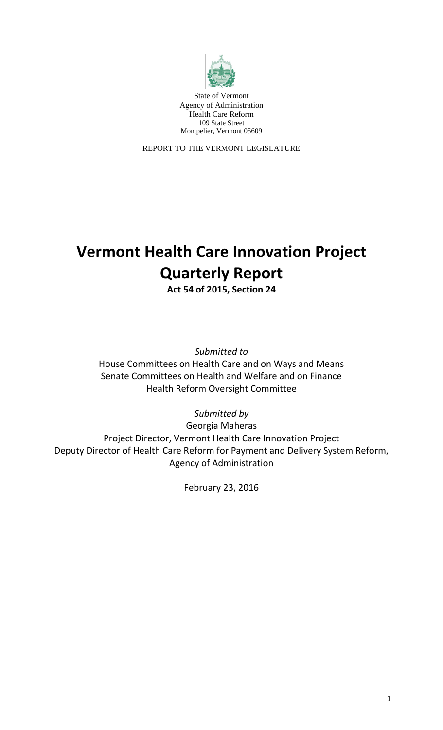

State of Vermont Agency of Administration Health Care Reform 109 State Street Montpelier, Vermont 05609

REPORT TO THE VERMONT LEGISLATURE

# **Vermont Health Care Innovation Project Quarterly Report**

**Act 54 of 2015, Section 24**

*Submitted to*

House Committees on Health Care and on Ways and Means Senate Committees on Health and Welfare and on Finance Health Reform Oversight Committee

*Submitted by*

Georgia Maheras Project Director, Vermont Health Care Innovation Project Deputy Director of Health Care Reform for Payment and Delivery System Reform, Agency of Administration

February 23, 2016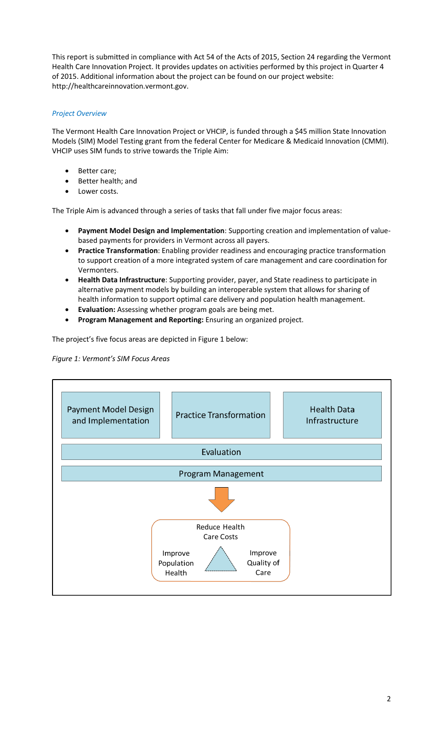This report is submitted in compliance with Act 54 of the Acts of 2015, Section 24 regarding the Vermont Health Care Innovation Project. It provides updates on activities performed by this project in Quarter 4 of 2015. Additional information about the project can be found on our project website: http://healthcareinnovation.vermont.gov.

### *Project Overview*

The Vermont Health Care Innovation Project or VHCIP, is funded through a \$45 million State Innovation Models (SIM) Model Testing grant from the federal Center for Medicare & Medicaid Innovation (CMMI). VHCIP uses SIM funds to strive towards the Triple Aim:

- Better care;
- Better health; and
- Lower costs.

The Triple Aim is advanced through a series of tasks that fall under five major focus areas:

- **Payment Model Design and Implementation**: Supporting creation and implementation of valuebased payments for providers in Vermont across all payers.
- **Practice Transformation**: Enabling provider readiness and encouraging practice transformation to support creation of a more integrated system of care management and care coordination for Vermonters.
- **Health Data Infrastructure**: Supporting provider, payer, and State readiness to participate in alternative payment models by building an interoperable system that allows for sharing of health information to support optimal care delivery and population health management.
- **Evaluation:** Assessing whether program goals are being met.
- **Program Management and Reporting:** Ensuring an organized project.

The project's five focus areas are depicted in Figure 1 below:

#### *Figure 1: Vermont's SIM Focus Areas*

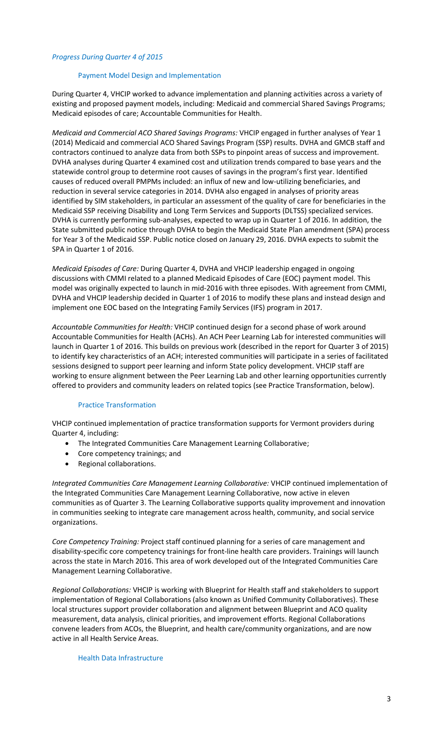#### *Progress During Quarter 4 of 2015*

#### Payment Model Design and Implementation

During Quarter 4, VHCIP worked to advance implementation and planning activities across a variety of existing and proposed payment models, including: Medicaid and commercial Shared Savings Programs; Medicaid episodes of care; Accountable Communities for Health.

*Medicaid and Commercial ACO Shared Savings Programs:* VHCIP engaged in further analyses of Year 1 (2014) Medicaid and commercial ACO Shared Savings Program (SSP) results. DVHA and GMCB staff and contractors continued to analyze data from both SSPs to pinpoint areas of success and improvement. DVHA analyses during Quarter 4 examined cost and utilization trends compared to base years and the statewide control group to determine root causes of savings in the program's first year. Identified causes of reduced overall PMPMs included: an influx of new and low-utilizing beneficiaries, and reduction in several service categories in 2014. DVHA also engaged in analyses of priority areas identified by SIM stakeholders, in particular an assessment of the quality of care for beneficiaries in the Medicaid SSP receiving Disability and Long Term Services and Supports (DLTSS) specialized services. DVHA is currently performing sub-analyses, expected to wrap up in Quarter 1 of 2016. In addition, the State submitted public notice through DVHA to begin the Medicaid State Plan amendment (SPA) process for Year 3 of the Medicaid SSP. Public notice closed on January 29, 2016. DVHA expects to submit the SPA in Quarter 1 of 2016.

*Medicaid Episodes of Care:* During Quarter 4, DVHA and VHCIP leadership engaged in ongoing discussions with CMMI related to a planned Medicaid Episodes of Care (EOC) payment model. This model was originally expected to launch in mid-2016 with three episodes. With agreement from CMMI, DVHA and VHCIP leadership decided in Quarter 1 of 2016 to modify these plans and instead design and implement one EOC based on the Integrating Family Services (IFS) program in 2017.

*Accountable Communities for Health:* VHCIP continued design for a second phase of work around Accountable Communities for Health (ACHs). An ACH Peer Learning Lab for interested communities will launch in Quarter 1 of 2016. This builds on previous work (described in the report for Quarter 3 of 2015) to identify key characteristics of an ACH; interested communities will participate in a series of facilitated sessions designed to support peer learning and inform State policy development. VHCIP staff are working to ensure alignment between the Peer Learning Lab and other learning opportunities currently offered to providers and community leaders on related topics (see Practice Transformation, below).

#### Practice Transformation

VHCIP continued implementation of practice transformation supports for Vermont providers during Quarter 4, including:

- The Integrated Communities Care Management Learning Collaborative;
- Core competency trainings; and
- Regional collaborations.

*Integrated Communities Care Management Learning Collaborative:* VHCIP continued implementation of the Integrated Communities Care Management Learning Collaborative, now active in eleven communities as of Quarter 3. The Learning Collaborative supports quality improvement and innovation in communities seeking to integrate care management across health, community, and social service organizations.

*Core Competency Training:* Project staff continued planning for a series of care management and disability-specific core competency trainings for front-line health care providers. Trainings will launch across the state in March 2016. This area of work developed out of the Integrated Communities Care Management Learning Collaborative.

*Regional Collaborations:* VHCIP is working with Blueprint for Health staff and stakeholders to support implementation of Regional Collaborations (also known as Unified Community Collaboratives). These local structures support provider collaboration and alignment between Blueprint and ACO quality measurement, data analysis, clinical priorities, and improvement efforts. Regional Collaborations convene leaders from ACOs, the Blueprint, and health care/community organizations, and are now active in all Health Service Areas.

#### Health Data Infrastructure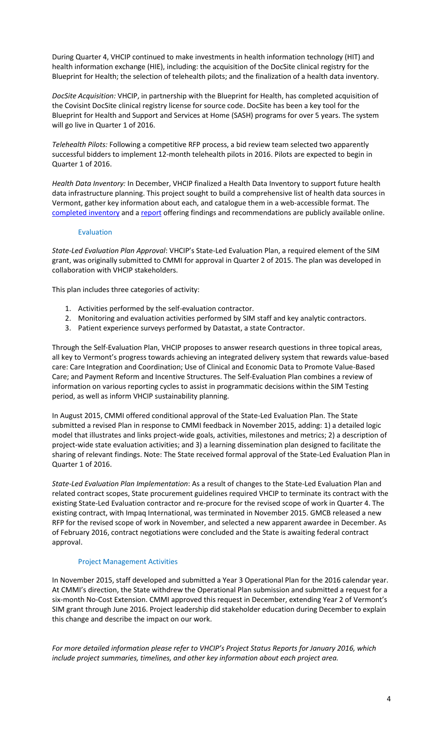During Quarter 4, VHCIP continued to make investments in health information technology (HIT) and health information exchange (HIE), including: the acquisition of the DocSite clinical registry for the Blueprint for Health; the selection of telehealth pilots; and the finalization of a health data inventory.

*DocSite Acquisition:* VHCIP, in partnership with the Blueprint for Health, has completed acquisition of the Covisint DocSite clinical registry license for source code. DocSite has been a key tool for the Blueprint for Health and Support and Services at Home (SASH) programs for over 5 years. The system will go live in Quarter 1 of 2016.

*Telehealth Pilots:* Following a competitive RFP process, a bid review team selected two apparently successful bidders to implement 12-month telehealth pilots in 2016. Pilots are expected to begin in Quarter 1 of 2016.

*Health Data Inventory:* In December, VHCIP finalized a Health Data Inventory to support future health data infrastructure planning. This project sought to build a comprehensive list of health data sources in Vermont, gather key information about each, and catalogue them in a web-accessible format. The [completed inventory](https://stone.knackhq.com/health-inventory#datasourcelisting/) and a [report](http://healthcareinnovation.vermont.gov/sites/hcinnovation/files/HIE/VTHealthData%20Inventory_FinalReport_12312015.pdf) offering findings and recommendations are publicly available online.

#### Evaluation

*State-Led Evaluation Plan Approval*: VHCIP's State-Led Evaluation Plan, a required element of the SIM grant, was originally submitted to CMMI for approval in Quarter 2 of 2015. The plan was developed in collaboration with VHCIP stakeholders.

This plan includes three categories of activity:

- 1. Activities performed by the self-evaluation contractor.
- 2. Monitoring and evaluation activities performed by SIM staff and key analytic contractors.
- 3. Patient experience surveys performed by Datastat, a state Contractor.

Through the Self-Evaluation Plan, VHCIP proposes to answer research questions in three topical areas, all key to Vermont's progress towards achieving an integrated delivery system that rewards value-based care: Care Integration and Coordination; Use of Clinical and Economic Data to Promote Value-Based Care; and Payment Reform and Incentive Structures. The Self-Evaluation Plan combines a review of information on various reporting cycles to assist in programmatic decisions within the SIM Testing period, as well as inform VHCIP sustainability planning.

In August 2015, CMMI offered conditional approval of the State-Led Evaluation Plan. The State submitted a revised Plan in response to CMMI feedback in November 2015, adding: 1) a detailed logic model that illustrates and links project-wide goals, activities, milestones and metrics; 2) a description of project-wide state evaluation activities; and 3) a learning dissemination plan designed to facilitate the sharing of relevant findings. Note: The State received formal approval of the State-Led Evaluation Plan in Quarter 1 of 2016.

*State-Led Evaluation Plan Implementation*: As a result of changes to the State-Led Evaluation Plan and related contract scopes, State procurement guidelines required VHCIP to terminate its contract with the existing State-Led Evaluation contractor and re-procure for the revised scope of work in Quarter 4. The existing contract, with Impaq International, was terminated in November 2015. GMCB released a new RFP for the revised scope of work in November, and selected a new apparent awardee in December. As of February 2016, contract negotiations were concluded and the State is awaiting federal contract approval.

#### Project Management Activities

In November 2015, staff developed and submitted a Year 3 Operational Plan for the 2016 calendar year. At CMMI's direction, the State withdrew the Operational Plan submission and submitted a request for a six-month No-Cost Extension. CMMI approved this request in December, extending Year 2 of Vermont's SIM grant through June 2016. Project leadership did stakeholder education during December to explain this change and describe the impact on our work.

*For more detailed information please refer to VHCIP's Project Status Reports for January 2016, which include project summaries, timelines, and other key information about each project area.*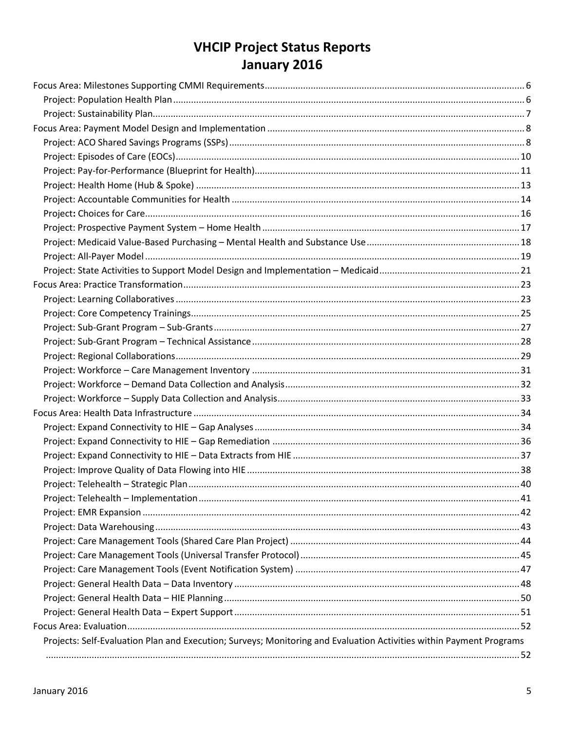## **VHCIP Project Status Reports** January 2016

| Projects: Self-Evaluation Plan and Execution; Surveys; Monitoring and Evaluation Activities within Payment Programs |  |
|---------------------------------------------------------------------------------------------------------------------|--|
|                                                                                                                     |  |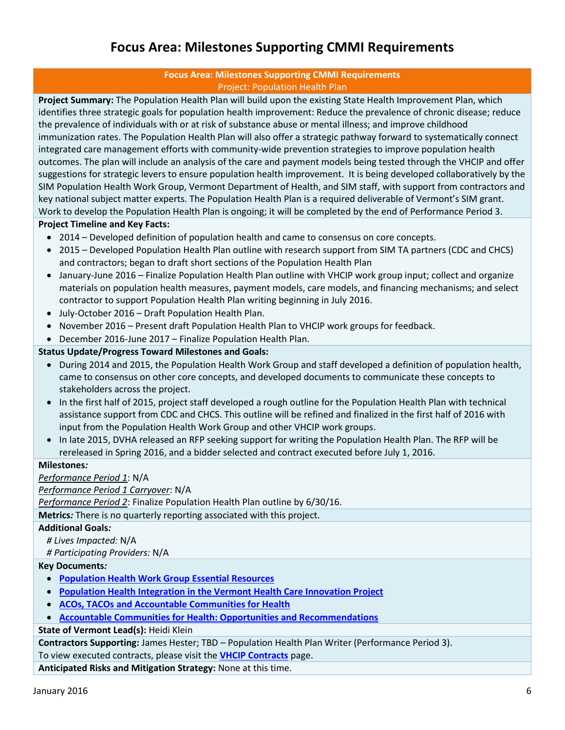### **Focus Area: Milestones Supporting CMMI Requirements**

#### **Focus Area: Milestones Supporting CMMI Requirements** Project: Population Health Plan

<span id="page-5-1"></span><span id="page-5-0"></span>**Project Summary:** The Population Health Plan will build upon the existing State Health Improvement Plan, which identifies three strategic goals for population health improvement: Reduce the prevalence of chronic disease; reduce the prevalence of individuals with or at risk of substance abuse or mental illness; and improve childhood immunization rates. The Population Health Plan will also offer a strategic pathway forward to systematically connect integrated care management efforts with community-wide prevention strategies to improve population health outcomes. The plan will include an analysis of the care and payment models being tested through the VHCIP and offer suggestions for strategic levers to ensure population health improvement. It is being developed collaboratively by the SIM Population Health Work Group, Vermont Department of Health, and SIM staff, with support from contractors and key national subject matter experts. The Population Health Plan is a required deliverable of Vermont's SIM grant. Work to develop the Population Health Plan is ongoing; it will be completed by the end of Performance Period 3.

#### **Project Timeline and Key Facts:**

- 2014 Developed definition of population health and came to consensus on core concepts.
- 2015 Developed Population Health Plan outline with research support from SIM TA partners (CDC and CHCS) and contractors; began to draft short sections of the Population Health Plan
- January-June 2016 Finalize Population Health Plan outline with VHCIP work group input; collect and organize materials on population health measures, payment models, care models, and financing mechanisms; and select contractor to support Population Health Plan writing beginning in July 2016.
- July-October 2016 Draft Population Health Plan.
- November 2016 Present draft Population Health Plan to VHCIP work groups for feedback.
- December 2016-June 2017 Finalize Population Health Plan.

#### **Status Update/Progress Toward Milestones and Goals:**

- During 2014 and 2015, the Population Health Work Group and staff developed a definition of population health, came to consensus on other core concepts, and developed documents to communicate these concepts to stakeholders across the project.
- In the first half of 2015, project staff developed a rough outline for the Population Health Plan with technical assistance support from CDC and CHCS. This outline will be refined and finalized in the first half of 2016 with input from the Population Health Work Group and other VHCIP work groups.
- In late 2015, DVHA released an RFP seeking support for writing the Population Health Plan. The RFP will be rereleased in Spring 2016, and a bidder selected and contract executed before July 1, 2016.

#### **Milestones***:*

*Performance Period 1*: N/A

*Performance Period 1 Carryover*: N/A

*Performance Period 2*: Finalize Population Health Plan outline by 6/30/16.

**Metrics***:* There is no quarterly reporting associated with this project.

#### **Additional Goals***:*

*# Lives Impacted:* N/A

*# Participating Providers:* N/A

#### **Key Documents***:*

- **[Population Health Work Group Essential Resources](http://healthcareinnovation.vermont.gov/sites/hcinnovation/files/PHWG_Essential_References.pdf)**
- **[Population Health Integration in the Vermont Health Care Innovation Project](http://healthcareinnovation.vermont.gov/sites/hcinnovation/files/Pop_Health/Pop%20Health%20in%20VHCIP%2011-12-14.pdf)**
- **[ACOs, TACOs and Accountable Communities for Health](http://healthcareinnovation.vermont.gov/sites/hcinnovation/files/Pop_Health/PHWG%20ACO%20TACO%20ACH%20%202%204%2015.pdf)**
- **[Accountable Communities for Health: Opportunities and Recommendations](http://healthcareinnovation.vermont.gov/sites/hcinnovation/files/Pop_Health/VT%20ACH%20Opportunities%20and%20Recommendations.pdf)**

#### **State of Vermont Lead(s):** Heidi Klein

**Contractors Supporting:** James Hester; TBD – Population Health Plan Writer (Performance Period 3).

To view executed contracts, please visit the **[VHCIP Contracts](http://healthcareinnovation.vermont.gov/node/731)** page.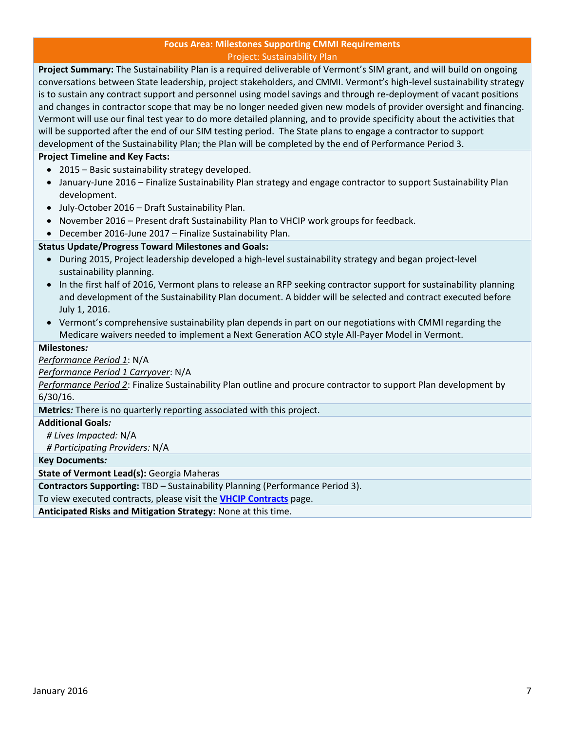#### **Focus Area: Milestones Supporting CMMI Requirements** Project: Sustainability Plan

<span id="page-6-0"></span>**Project Summary:** The Sustainability Plan is a required deliverable of Vermont's SIM grant, and will build on ongoing conversations between State leadership, project stakeholders, and CMMI. Vermont's high-level sustainability strategy is to sustain any contract support and personnel using model savings and through re-deployment of vacant positions and changes in contractor scope that may be no longer needed given new models of provider oversight and financing. Vermont will use our final test year to do more detailed planning, and to provide specificity about the activities that will be supported after the end of our SIM testing period. The State plans to engage a contractor to support development of the Sustainability Plan; the Plan will be completed by the end of Performance Period 3.

#### **Project Timeline and Key Facts:**

- 2015 Basic sustainability strategy developed.
- January-June 2016 Finalize Sustainability Plan strategy and engage contractor to support Sustainability Plan development.
- July-October 2016 Draft Sustainability Plan.
- November 2016 Present draft Sustainability Plan to VHCIP work groups for feedback.
- December 2016-June 2017 Finalize Sustainability Plan.

#### **Status Update/Progress Toward Milestones and Goals:**

- During 2015, Project leadership developed a high-level sustainability strategy and began project-level sustainability planning.
- In the first half of 2016, Vermont plans to release an RFP seeking contractor support for sustainability planning and development of the Sustainability Plan document. A bidder will be selected and contract executed before July 1, 2016.
- Vermont's comprehensive sustainability plan depends in part on our negotiations with CMMI regarding the Medicare waivers needed to implement a Next Generation ACO style All-Payer Model in Vermont.

#### **Milestones***:*

*Performance Period 1*: N/A

*Performance Period 1 Carryover*: N/A

*Performance Period 2*: Finalize Sustainability Plan outline and procure contractor to support Plan development by 6/30/16.

**Metrics***:* There is no quarterly reporting associated with this project.

#### **Additional Goals***:*

*# Lives Impacted:* N/A

*# Participating Providers:* N/A

**Key Documents***:*

**State of Vermont Lead(s):** Georgia Maheras

**Contractors Supporting:** TBD – Sustainability Planning (Performance Period 3).

To view executed contracts, please visit the **[VHCIP Contracts](http://healthcareinnovation.vermont.gov/node/731)** page.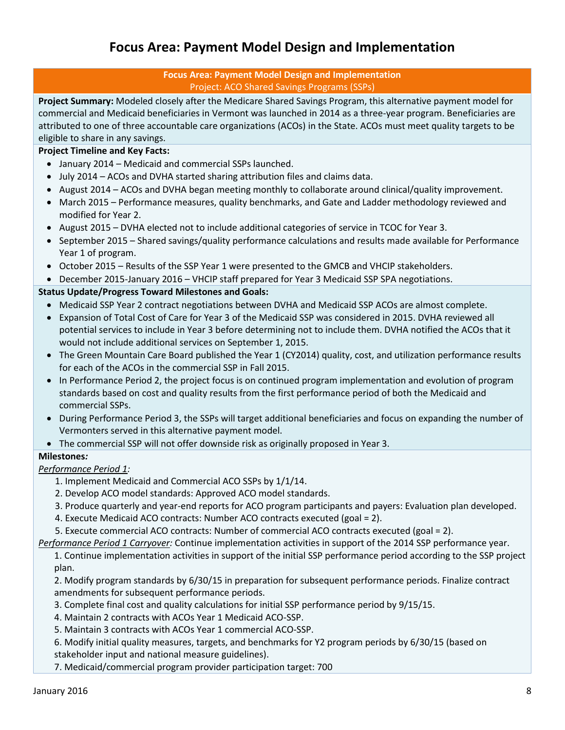### **Focus Area: Payment Model Design and Implementation**

#### **Focus Area: Payment Model Design and Implementation** Project: ACO Shared Savings Programs (SSPs)

<span id="page-7-1"></span><span id="page-7-0"></span>**Project Summary:** Modeled closely after the Medicare Shared Savings Program, this alternative payment model for commercial and Medicaid beneficiaries in Vermont was launched in 2014 as a three-year program. Beneficiaries are attributed to one of three accountable care organizations (ACOs) in the State. ACOs must meet quality targets to be eligible to share in any savings.

#### **Project Timeline and Key Facts:**

- January 2014 Medicaid and commercial SSPs launched.
- July 2014 ACOs and DVHA started sharing attribution files and claims data.
- August 2014 ACOs and DVHA began meeting monthly to collaborate around clinical/quality improvement.
- March 2015 Performance measures, quality benchmarks, and Gate and Ladder methodology reviewed and modified for Year 2.
- August 2015 DVHA elected not to include additional categories of service in TCOC for Year 3.
- September 2015 Shared savings/quality performance calculations and results made available for Performance Year 1 of program.
- October 2015 Results of the SSP Year 1 were presented to the GMCB and VHCIP stakeholders.
- December 2015-January 2016 VHCIP staff prepared for Year 3 Medicaid SSP SPA negotiations.

#### **Status Update/Progress Toward Milestones and Goals:**

- Medicaid SSP Year 2 contract negotiations between DVHA and Medicaid SSP ACOs are almost complete.
- Expansion of Total Cost of Care for Year 3 of the Medicaid SSP was considered in 2015. DVHA reviewed all potential services to include in Year 3 before determining not to include them. DVHA notified the ACOs that it would not include additional services on September 1, 2015.
- The Green Mountain Care Board published the Year 1 (CY2014) quality, cost, and utilization performance results for each of the ACOs in the commercial SSP in Fall 2015.
- In Performance Period 2, the project focus is on continued program implementation and evolution of program standards based on cost and quality results from the first performance period of both the Medicaid and commercial SSPs.
- During Performance Period 3, the SSPs will target additional beneficiaries and focus on expanding the number of Vermonters served in this alternative payment model.
- The commercial SSP will not offer downside risk as originally proposed in Year 3.

#### **Milestones***:*

#### *Performance Period 1:*

- 1. Implement Medicaid and Commercial ACO SSPs by 1/1/14.
- 2. Develop ACO model standards: Approved ACO model standards.
- 3. Produce quarterly and year-end reports for ACO program participants and payers: Evaluation plan developed.
- 4. Execute Medicaid ACO contracts: Number ACO contracts executed (goal = 2).
- 5. Execute commercial ACO contracts: Number of commercial ACO contracts executed (goal = 2).
- *Performance Period 1 Carryover:* Continue implementation activities in support of the 2014 SSP performance year.

1. Continue implementation activities in support of the initial SSP performance period according to the SSP project plan.

2. Modify program standards by 6/30/15 in preparation for subsequent performance periods. Finalize contract amendments for subsequent performance periods.

- 3. Complete final cost and quality calculations for initial SSP performance period by 9/15/15.
- 4. Maintain 2 contracts with ACOs Year 1 Medicaid ACO-SSP.
- 5. Maintain 3 contracts with ACOs Year 1 commercial ACO-SSP.
- 6. Modify initial quality measures, targets, and benchmarks for Y2 program periods by 6/30/15 (based on stakeholder input and national measure guidelines).
- 7. Medicaid/commercial program provider participation target: 700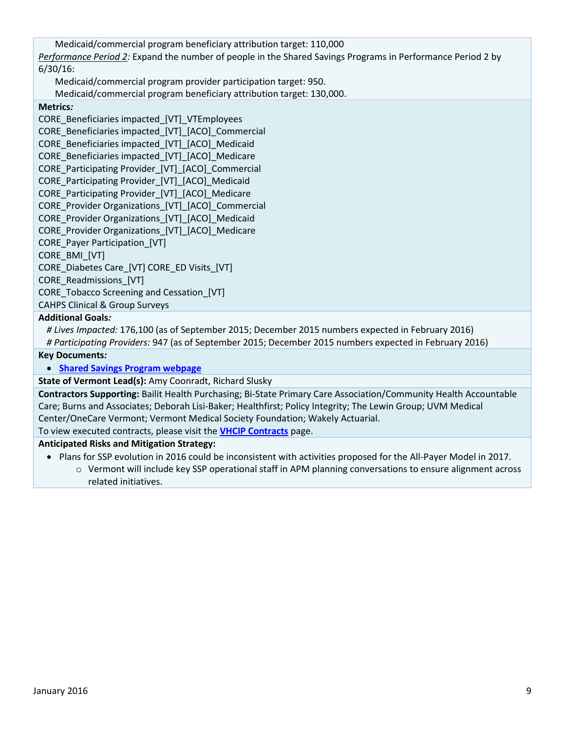Medicaid/commercial program beneficiary attribution target: 110,000

*Performance Period 2:* Expand the number of people in the Shared Savings Programs in Performance Period 2 by 6/30/16:

Medicaid/commercial program provider participation target: 950.

Medicaid/commercial program beneficiary attribution target: 130,000.

**Metrics***:* 

CORE\_Beneficiaries impacted\_[VT]\_VTEmployees CORE\_Beneficiaries impacted\_[VT]\_[ACO]\_Commercial CORE\_Beneficiaries impacted\_[VT]\_[ACO]\_Medicaid CORE\_Beneficiaries impacted\_[VT]\_[ACO]\_Medicare CORE Participating Provider [VT] [ACO] Commercial CORE\_Participating Provider\_[VT]\_[ACO]\_Medicaid CORE Participating Provider [VT] [ACO] Medicare CORE Provider Organizations [VT] [ACO] Commercial CORE Provider Organizations [VT] [ACO] Medicaid CORE\_Provider Organizations\_[VT]\_[ACO]\_Medicare CORE\_Payer Participation\_[VT] CORE\_BMI\_[VT] CORE\_Diabetes Care\_[VT] CORE\_ED Visits\_[VT] CORE\_Readmissions\_[VT] CORE\_Tobacco Screening and Cessation\_[VT]

CAHPS Clinical & Group Surveys

#### **Additional Goals***:*

*# Lives Impacted:* 176,100 (as of September 2015; December 2015 numbers expected in February 2016) *# Participating Providers:* 947 (as of September 2015; December 2015 numbers expected in February 2016)

#### **Key Documents***:*

**[Shared Savings Program webpage](http://healthcareinnovation.vermont.gov/node/860)**

**State of Vermont Lead(s):** Amy Coonradt, Richard Slusky

**Contractors Supporting:** Bailit Health Purchasing; Bi-State Primary Care Association/Community Health Accountable Care; Burns and Associates; Deborah Lisi-Baker; Healthfirst; Policy Integrity; The Lewin Group; UVM Medical Center/OneCare Vermont; Vermont Medical Society Foundation; Wakely Actuarial.

To view executed contracts, please visit the **[VHCIP Contracts](http://healthcareinnovation.vermont.gov/node/731)** page.

#### **Anticipated Risks and Mitigation Strategy:**

- Plans for SSP evolution in 2016 could be inconsistent with activities proposed for the All-Payer Model in 2017.
	- o Vermont will include key SSP operational staff in APM planning conversations to ensure alignment across related initiatives.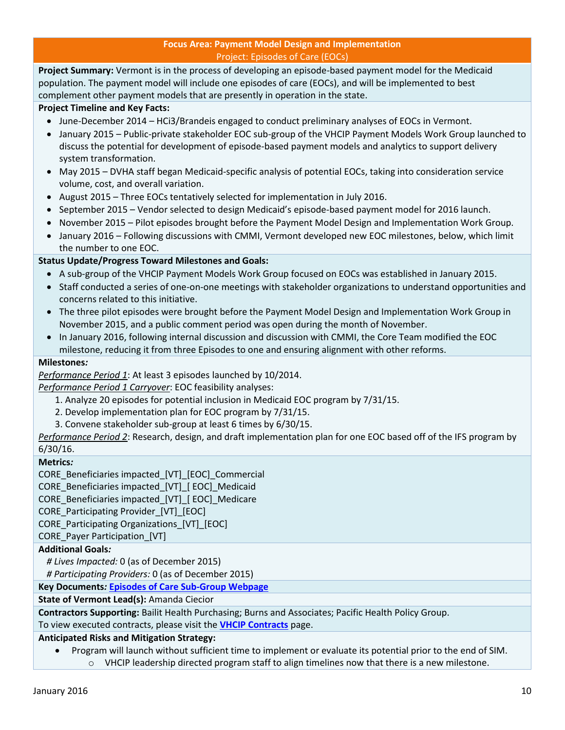#### **Focus Area: Payment Model Design and Implementation** Project: Episodes of Care (EOCs)

<span id="page-9-0"></span>**Project Summary:** Vermont is in the process of developing an episode-based payment model for the Medicaid population. The payment model will include one episodes of care (EOCs), and will be implemented to best complement other payment models that are presently in operation in the state.

#### **Project Timeline and Key Facts:**

- June-December 2014 HCi3/Brandeis engaged to conduct preliminary analyses of EOCs in Vermont.
- January 2015 Public-private stakeholder EOC sub-group of the VHCIP Payment Models Work Group launched to discuss the potential for development of episode-based payment models and analytics to support delivery system transformation.
- May 2015 DVHA staff began Medicaid-specific analysis of potential EOCs, taking into consideration service volume, cost, and overall variation.
- August 2015 Three EOCs tentatively selected for implementation in July 2016.
- September 2015 Vendor selected to design Medicaid's episode-based payment model for 2016 launch.
- November 2015 Pilot episodes brought before the Payment Model Design and Implementation Work Group.
- January 2016 Following discussions with CMMI, Vermont developed new EOC milestones, below, which limit the number to one EOC.

#### **Status Update/Progress Toward Milestones and Goals:**

- A sub-group of the VHCIP Payment Models Work Group focused on EOCs was established in January 2015.
- Staff conducted a series of one-on-one meetings with stakeholder organizations to understand opportunities and concerns related to this initiative.
- The three pilot episodes were brought before the Payment Model Design and Implementation Work Group in November 2015, and a public comment period was open during the month of November.
- In January 2016, following internal discussion and discussion with CMMI, the Core Team modified the EOC milestone, reducing it from three Episodes to one and ensuring alignment with other reforms.

#### **Milestones***:*

*Performance Period 1*: At least 3 episodes launched by 10/2014.

*Performance Period 1 Carryover*: EOC feasibility analyses:

- 1. Analyze 20 episodes for potential inclusion in Medicaid EOC program by 7/31/15.
- 2. Develop implementation plan for EOC program by 7/31/15.
- 3. Convene stakeholder sub-group at least 6 times by 6/30/15.

*Performance Period 2*: Research, design, and draft implementation plan for one EOC based off of the IFS program by 6/30/16.

#### **Metrics***:*

CORE\_Beneficiaries impacted\_[VT]\_[EOC]\_Commercial

CORE\_Beneficiaries impacted\_[VT]\_[ EOC]\_Medicaid

CORE\_Beneficiaries impacted\_[VT]\_[ EOC]\_Medicare

CORE\_Participating Provider\_[VT]\_[EOC]

CORE\_Participating Organizations\_[VT]\_[EOC]

CORE\_Payer Participation\_[VT]

#### **Additional Goals***:*

*# Lives Impacted:* 0 (as of December 2015)

*# Participating Providers:* 0 (as of December 2015)

#### **Key Documents***:* **[Episodes of Care Sub-Group Webpage](http://healthcareinnovation.vermont.gov/node/861)**

#### **State of Vermont Lead(s):** Amanda Ciecior

**Contractors Supporting:** Bailit Health Purchasing; Burns and Associates; Pacific Health Policy Group.

To view executed contracts, please visit the **[VHCIP Contracts](http://healthcareinnovation.vermont.gov/node/731)** page.

#### **Anticipated Risks and Mitigation Strategy:**

 Program will launch without sufficient time to implement or evaluate its potential prior to the end of SIM. o VHCIP leadership directed program staff to align timelines now that there is a new milestone.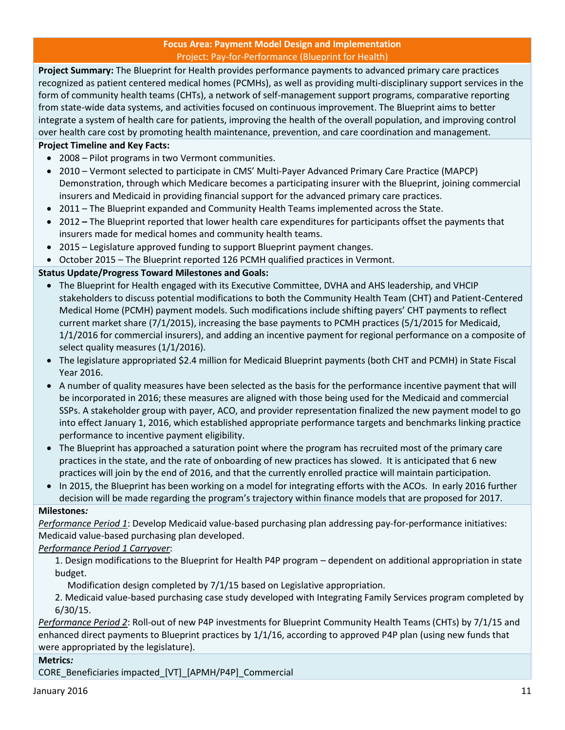#### **Focus Area: Payment Model Design and Implementation** Project: Pay-for-Performance (Blueprint for Health)

<span id="page-10-0"></span>**Project Summary:** The Blueprint for Health provides performance payments to advanced primary care practices recognized as patient centered medical homes (PCMHs), as well as providing multi-disciplinary support services in the form of community health teams (CHTs), a network of self-management support programs, comparative reporting from state-wide data systems, and activities focused on continuous improvement. The Blueprint aims to better integrate a system of health care for patients, improving the health of the overall population, and improving control over health care cost by promoting health maintenance, prevention, and care coordination and management.

#### **Project Timeline and Key Facts:**

- 2008 Pilot programs in two Vermont communities.
- 2010 Vermont selected to participate in CMS' Multi-Payer Advanced Primary Care Practice (MAPCP) Demonstration, through which Medicare becomes a participating insurer with the Blueprint, joining commercial insurers and Medicaid in providing financial support for the advanced primary care practices.
- 2011 The Blueprint expanded and Community Health Teams implemented across the State.
- 2012 **–** The Blueprint reported that lower health care expenditures for participants offset the payments that insurers made for medical homes and community health teams.
- 2015 Legislature approved funding to support Blueprint payment changes.
- October 2015 The Blueprint reported 126 PCMH qualified practices in Vermont.

#### **Status Update/Progress Toward Milestones and Goals:**

- The Blueprint for Health engaged with its Executive Committee, DVHA and AHS leadership, and VHCIP stakeholders to discuss potential modifications to both the Community Health Team (CHT) and Patient-Centered Medical Home (PCMH) payment models. Such modifications include shifting payers' CHT payments to reflect current market share (7/1/2015), increasing the base payments to PCMH practices (5/1/2015 for Medicaid, 1/1/2016 for commercial insurers), and adding an incentive payment for regional performance on a composite of select quality measures (1/1/2016).
- The legislature appropriated \$2.4 million for Medicaid Blueprint payments (both CHT and PCMH) in State Fiscal Year 2016.
- A number of quality measures have been selected as the basis for the performance incentive payment that will be incorporated in 2016; these measures are aligned with those being used for the Medicaid and commercial SSPs. A stakeholder group with payer, ACO, and provider representation finalized the new payment model to go into effect January 1, 2016, which established appropriate performance targets and benchmarks linking practice performance to incentive payment eligibility.
- The Blueprint has approached a saturation point where the program has recruited most of the primary care practices in the state, and the rate of onboarding of new practices has slowed. It is anticipated that 6 new practices will join by the end of 2016, and that the currently enrolled practice will maintain participation.
- In 2015, the Blueprint has been working on a model for integrating efforts with the ACOs. In early 2016 further decision will be made regarding the program's trajectory within finance models that are proposed for 2017.

#### **Milestones***:*

*Performance Period 1*: Develop Medicaid value-based purchasing plan addressing pay-for-performance initiatives: Medicaid value-based purchasing plan developed.

#### *Performance Period 1 Carryover*:

1. Design modifications to the Blueprint for Health P4P program – dependent on additional appropriation in state budget.

Modification design completed by 7/1/15 based on Legislative appropriation.

2. Medicaid value-based purchasing case study developed with Integrating Family Services program completed by 6/30/15.

*Performance Period 2*: Roll-out of new P4P investments for Blueprint Community Health Teams (CHTs) by 7/1/15 and enhanced direct payments to Blueprint practices by 1/1/16, according to approved P4P plan (using new funds that were appropriated by the legislature).

#### **Metrics***:*

CORE\_Beneficiaries impacted\_[VT]\_[APMH/P4P]\_Commercial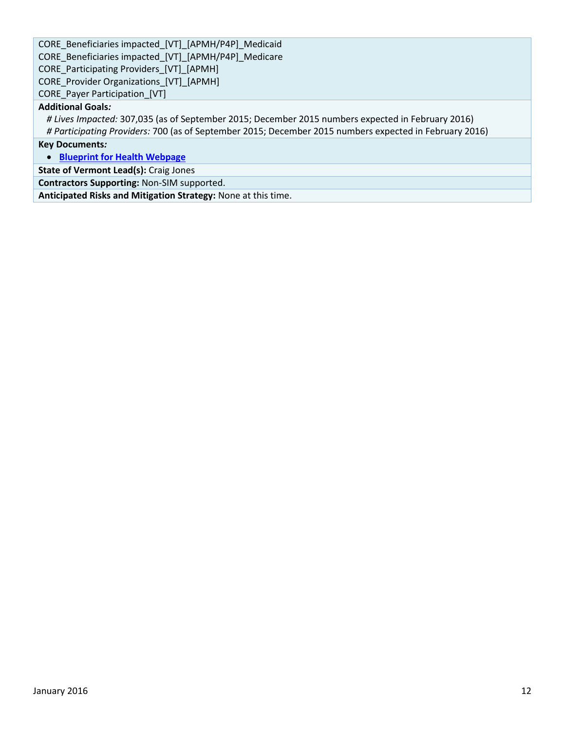CORE\_Beneficiaries impacted\_[VT]\_[APMH/P4P]\_Medicaid CORE\_Beneficiaries impacted\_[VT]\_[APMH/P4P]\_Medicare CORE\_Participating Providers\_[VT]\_[APMH] CORE Provider Organizations [VT] [APMH] CORE\_Payer Participation\_[VT]

#### **Additional Goals***:*

*# Lives Impacted:* 307,035 (as of September 2015; December 2015 numbers expected in February 2016)

*# Participating Providers:* 700 (as of September 2015; December 2015 numbers expected in February 2016)

**Key Documents***:*

**[Blueprint for Health Webpage](http://blueprintforhealth.vermont.gov/)**

**State of Vermont Lead(s):** Craig Jones

**Contractors Supporting:** Non-SIM supported.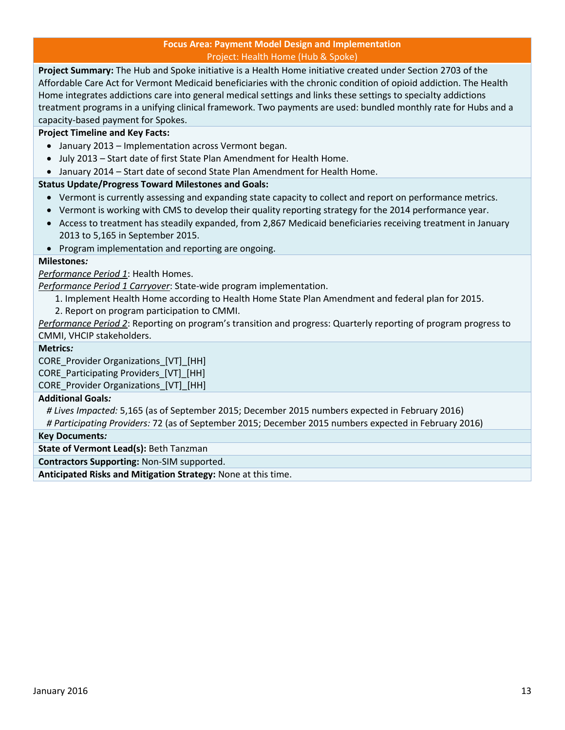#### **Focus Area: Payment Model Design and Implementation** Project: Health Home (Hub & Spoke)

<span id="page-12-0"></span>**Project Summary:** The Hub and Spoke initiative is a Health Home initiative created under Section 2703 of the Affordable Care Act for Vermont Medicaid beneficiaries with the chronic condition of opioid addiction. The Health Home integrates addictions care into general medical settings and links these settings to specialty addictions treatment programs in a unifying clinical framework. Two payments are used: bundled monthly rate for Hubs and a capacity-based payment for Spokes.

#### **Project Timeline and Key Facts:**

- January 2013 Implementation across Vermont began.
- July 2013 Start date of first State Plan Amendment for Health Home.
- January 2014 Start date of second State Plan Amendment for Health Home.

#### **Status Update/Progress Toward Milestones and Goals:**

- Vermont is currently assessing and expanding state capacity to collect and report on performance metrics.
- Vermont is working with CMS to develop their quality reporting strategy for the 2014 performance year.
- Access to treatment has steadily expanded, from 2,867 Medicaid beneficiaries receiving treatment in January 2013 to 5,165 in September 2015.
- Program implementation and reporting are ongoing.

#### **Milestones***:*

*Performance Period 1*: Health Homes.

*Performance Period 1 Carryover*: State-wide program implementation.

- 1. Implement Health Home according to Health Home State Plan Amendment and federal plan for 2015.
- 2. Report on program participation to CMMI.

*Performance Period 2*: Reporting on program's transition and progress: Quarterly reporting of program progress to CMMI, VHCIP stakeholders.

#### **Metrics***:*

CORE Provider Organizations [VT] [HH] CORE Participating Providers [VT] [HH] CORE Provider Organizations [VT] [HH]

#### **Additional Goals***:*

*# Lives Impacted:* 5,165 (as of September 2015; December 2015 numbers expected in February 2016) *# Participating Providers:* 72 (as of September 2015; December 2015 numbers expected in February 2016)

#### **Key Documents***:*

**State of Vermont Lead(s):** Beth Tanzman

**Contractors Supporting:** Non-SIM supported.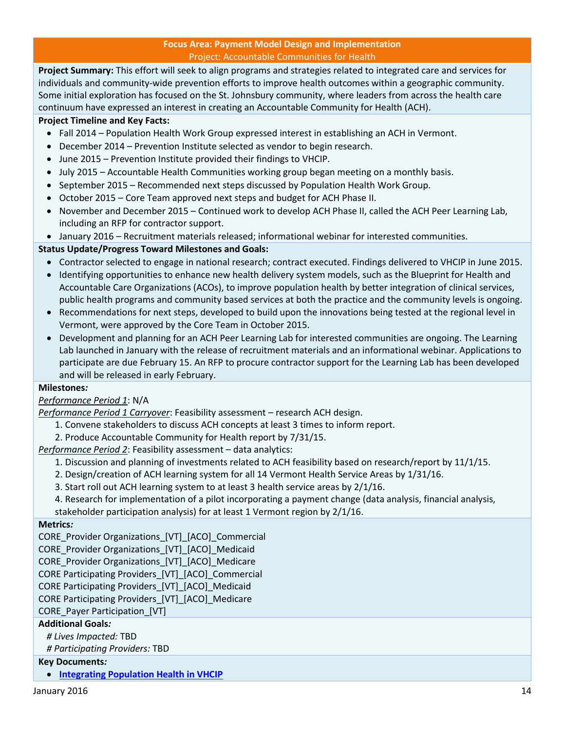#### **Focus Area: Payment Model Design and Implementation** Project: Accountable Communities for Health

<span id="page-13-0"></span>**Project Summary:** This effort will seek to align programs and strategies related to integrated care and services for individuals and community-wide prevention efforts to improve health outcomes within a geographic community. Some initial exploration has focused on the St. Johnsbury community, where leaders from across the health care continuum have expressed an interest in creating an Accountable Community for Health (ACH).

#### **Project Timeline and Key Facts:**

- Fall 2014 Population Health Work Group expressed interest in establishing an ACH in Vermont.
- December 2014 Prevention Institute selected as vendor to begin research.
- June 2015 Prevention Institute provided their findings to VHCIP.
- July 2015 Accountable Health Communities working group began meeting on a monthly basis.
- September 2015 Recommended next steps discussed by Population Health Work Group.
- October 2015 Core Team approved next steps and budget for ACH Phase II.
- November and December 2015 Continued work to develop ACH Phase II, called the ACH Peer Learning Lab, including an RFP for contractor support.
- January 2016 Recruitment materials released; informational webinar for interested communities.

#### **Status Update/Progress Toward Milestones and Goals:**

- Contractor selected to engage in national research; contract executed. Findings delivered to VHCIP in June 2015.
- Identifying opportunities to enhance new health delivery system models, such as the Blueprint for Health and Accountable Care Organizations (ACOs), to improve population health by better integration of clinical services, public health programs and community based services at both the practice and the community levels is ongoing.
- Recommendations for next steps, developed to build upon the innovations being tested at the regional level in Vermont, were approved by the Core Team in October 2015.
- Development and planning for an ACH Peer Learning Lab for interested communities are ongoing. The Learning Lab launched in January with the release of recruitment materials and an informational webinar. Applications to participate are due February 15. An RFP to procure contractor support for the Learning Lab has been developed and will be released in early February.

#### **Milestones***:*

#### *Performance Period 1*: N/A

*Performance Period 1 Carryover*: Feasibility assessment – research ACH design.

- 1. Convene stakeholders to discuss ACH concepts at least 3 times to inform report.
- 2. Produce Accountable Community for Health report by 7/31/15.

*Performance Period 2*: Feasibility assessment – data analytics:

- 1. Discussion and planning of investments related to ACH feasibility based on research/report by 11/1/15.
- 2. Design/creation of ACH learning system for all 14 Vermont Health Service Areas by 1/31/16.
- 3. Start roll out ACH learning system to at least 3 health service areas by 2/1/16.
- 4. Research for implementation of a pilot incorporating a payment change (data analysis, financial analysis, stakeholder participation analysis) for at least 1 Vermont region by 2/1/16.

#### **Metrics***:*

CORE Provider Organizations [VT] [ACO] Commercial

CORE Provider Organizations [VT] [ACO] Medicaid

CORE\_Provider Organizations\_[VT]\_[ACO]\_Medicare

CORE Participating Providers\_[VT]\_[ACO]\_Commercial

CORE Participating Providers\_[VT]\_[ACO]\_Medicaid

CORE Participating Providers\_[VT]\_[ACO]\_Medicare

CORE\_Payer Participation\_[VT]

#### **Additional Goals***:*

*# Lives Impacted:* TBD

*# Participating Providers:* TBD

#### **Key Documents***:*

**[Integrating Population Health in VHCIP](http://healthcareinnovation.vermont.gov/sites/hcinnovation/files/Pop_Health/Pop%20Health%20in%20VHCIP%2011-12-14.pdf)**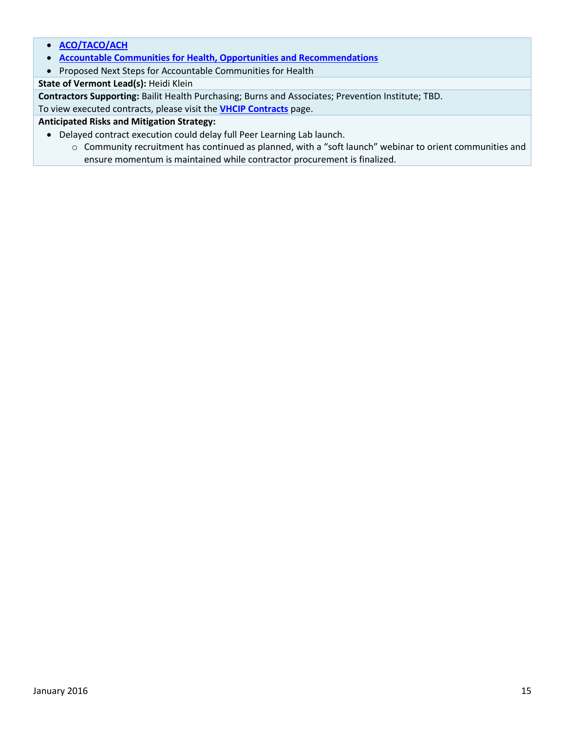- **[ACO/TACO/ACH](http://healthcareinnovation.vermont.gov/sites/hcinnovation/files/Pop_Health/PHWG%20ACO%20TACO%20ACH%20%202%204%2015.pdf)**
- **[Accountable Communities for Health, Opportunities and Recommendations](http://healthcareinnovation.vermont.gov/sites/hcinnovation/files/Pop_Health/VT%20ACH%20Opportunities%20and%20Recommendations.pdf)**
- Proposed Next Steps for Accountable Communities for Health

**State of Vermont Lead(s):** Heidi Klein

**Contractors Supporting:** Bailit Health Purchasing; Burns and Associates; Prevention Institute; TBD.

To view executed contracts, please visit the **[VHCIP Contracts](http://healthcareinnovation.vermont.gov/node/731)** page.

#### **Anticipated Risks and Mitigation Strategy:**

- Delayed contract execution could delay full Peer Learning Lab launch.
	- o Community recruitment has continued as planned, with a "soft launch" webinar to orient communities and ensure momentum is maintained while contractor procurement is finalized.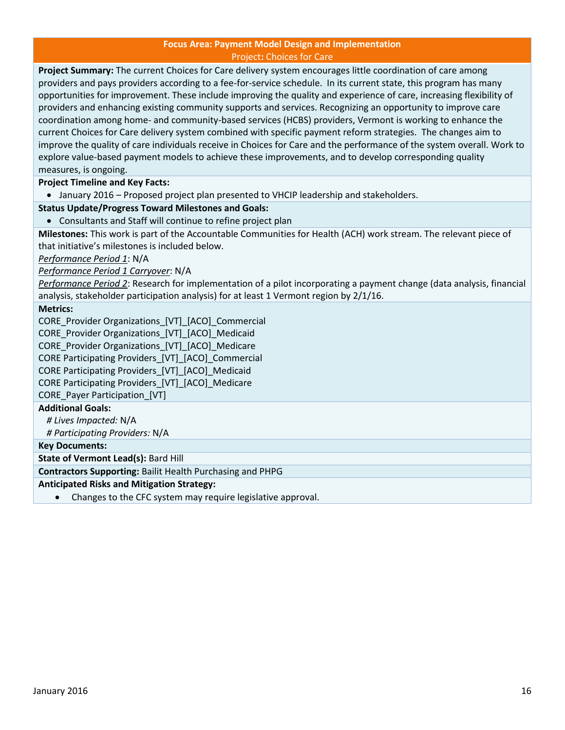#### **Focus Area: Payment Model Design and Implementation** Project**:** Choices for Care

<span id="page-15-0"></span>**Project Summary:** The current Choices for Care delivery system encourages little coordination of care among providers and pays providers according to a fee-for-service schedule. In its current state, this program has many opportunities for improvement. These include improving the quality and experience of care, increasing flexibility of providers and enhancing existing community supports and services. Recognizing an opportunity to improve care coordination among home- and community-based services (HCBS) providers, Vermont is working to enhance the current Choices for Care delivery system combined with specific payment reform strategies. The changes aim to improve the quality of care individuals receive in Choices for Care and the performance of the system overall. Work to explore value-based payment models to achieve these improvements, and to develop corresponding quality measures, is ongoing.

**Project Timeline and Key Facts:** 

January 2016 – Proposed project plan presented to VHCIP leadership and stakeholders.

#### **Status Update/Progress Toward Milestones and Goals:**

Consultants and Staff will continue to refine project plan

**Milestones:** This work is part of the Accountable Communities for Health (ACH) work stream. The relevant piece of that initiative's milestones is included below.

*Performance Period 1*: N/A

*Performance Period 1 Carryover*: N/A

*Performance Period 2*: Research for implementation of a pilot incorporating a payment change (data analysis, financial analysis, stakeholder participation analysis) for at least 1 Vermont region by 2/1/16.

#### **Metrics:**

CORE Provider Organizations [VT] [ACO] Commercial

CORE\_Provider Organizations\_[VT]\_[ACO]\_Medicaid

CORE\_Provider Organizations\_[VT]\_[ACO]\_Medicare

CORE Participating Providers\_[VT]\_[ACO]\_Commercial

CORE Participating Providers\_[VT]\_[ACO]\_Medicaid

CORE Participating Providers\_[VT]\_[ACO]\_Medicare

CORE\_Payer Participation\_[VT]

#### **Additional Goals:**

*# Lives Impacted:* N/A *# Participating Providers:* N/A

**Key Documents:**

**State of Vermont Lead(s):** Bard Hill

**Contractors Supporting:** Bailit Health Purchasing and PHPG

#### **Anticipated Risks and Mitigation Strategy:**

Changes to the CFC system may require legislative approval.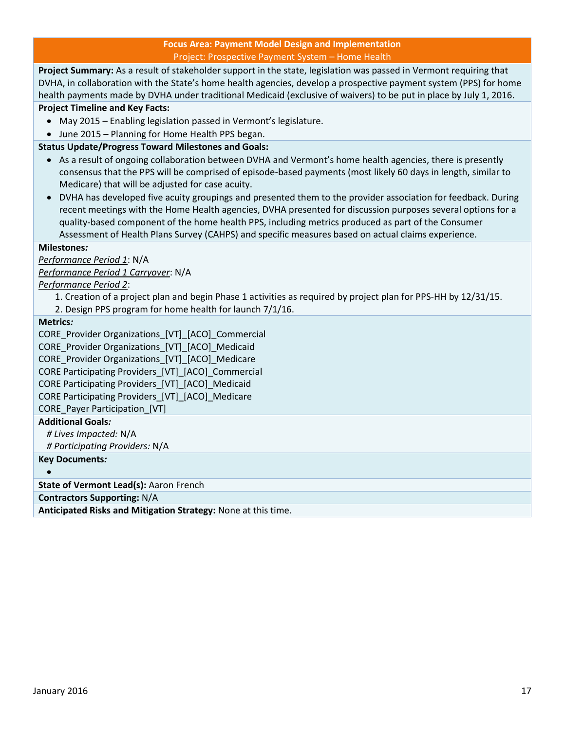#### **Focus Area: Payment Model Design and Implementation** Project: Prospective Payment System – Home Health

<span id="page-16-0"></span>**Project Summary:** As a result of stakeholder support in the state, legislation was passed in Vermont requiring that DVHA, in collaboration with the State's home health agencies, develop a prospective payment system (PPS) for home health payments made by DVHA under traditional Medicaid (exclusive of waivers) to be put in place by July 1, 2016. **Project Timeline and Key Facts:** 

- May 2015 Enabling legislation passed in Vermont's legislature.
- June 2015 Planning for Home Health PPS began.

#### **Status Update/Progress Toward Milestones and Goals:**

- As a result of ongoing collaboration between DVHA and Vermont's home health agencies, there is presently consensus that the PPS will be comprised of episode-based payments (most likely 60 days in length, similar to Medicare) that will be adjusted for case acuity.
- DVHA has developed five acuity groupings and presented them to the provider association for feedback. During recent meetings with the Home Health agencies, DVHA presented for discussion purposes several options for a quality-based component of the home health PPS, including metrics produced as part of the Consumer Assessment of Health Plans Survey (CAHPS) and specific measures based on actual claims experience.

#### **Milestones***:*

*Performance Period 1*: N/A *Performance Period 1 Carryover*: N/A

*Performance Period 2*:

- 1. Creation of a project plan and begin Phase 1 activities as required by project plan for PPS-HH by 12/31/15.
- 2. Design PPS program for home health for launch 7/1/16.

**Metrics***:* 

CORE\_Provider Organizations\_[VT]\_[ACO]\_Commercial CORE Provider Organizations [VT] [ACO] Medicaid CORE Provider Organizations [VT] [ACO] Medicare CORE Participating Providers\_[VT]\_[ACO]\_Commercial CORE Participating Providers\_[VT]\_[ACO]\_Medicaid CORE Participating Providers\_[VT]\_[ACO]\_Medicare CORE\_Payer Participation\_[VT] **Additional Goals***: # Lives Impacted:* N/A

*# Participating Providers:* N/A

**Key Documents***:*

 $\bullet$ 

**State of Vermont Lead(s):** Aaron French

**Contractors Supporting:** N/A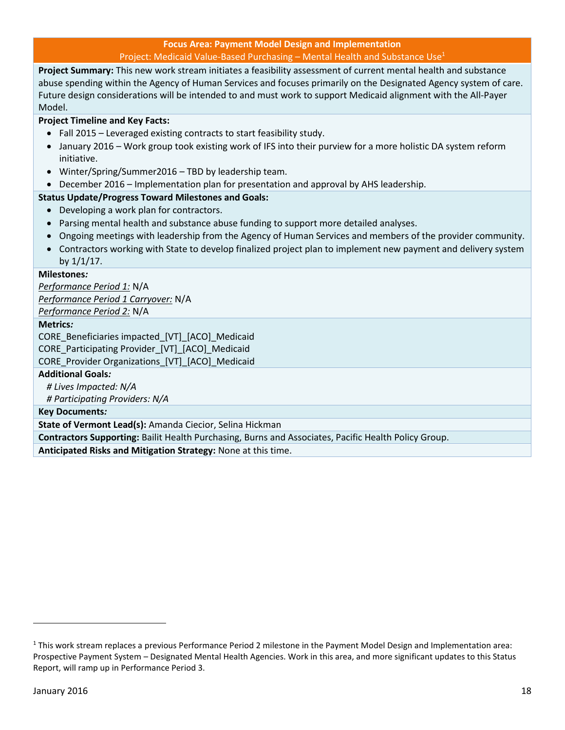**Focus Area: Payment Model Design and Implementation** Project: Medicaid Value-Based Purchasing – Mental Health and Substance Use $<sup>1</sup>$ </sup>

<span id="page-17-0"></span>**Project Summary:** This new work stream initiates a feasibility assessment of current mental health and substance abuse spending within the Agency of Human Services and focuses primarily on the Designated Agency system of care. Future design considerations will be intended to and must work to support Medicaid alignment with the All-Payer Model.

#### **Project Timeline and Key Facts:**

- Fall 2015 Leveraged existing contracts to start feasibility study.
- January 2016 Work group took existing work of IFS into their purview for a more holistic DA system reform initiative.
- Winter/Spring/Summer2016 TBD by leadership team.
- December 2016 Implementation plan for presentation and approval by AHS leadership.

#### **Status Update/Progress Toward Milestones and Goals:**

- Developing a work plan for contractors.
- Parsing mental health and substance abuse funding to support more detailed analyses.
- Ongoing meetings with leadership from the Agency of Human Services and members of the provider community.
- Contractors working with State to develop finalized project plan to implement new payment and delivery system by  $1/1/17$ .

#### **Milestones***:*

*Performance Period 1:* N/A *Performance Period 1 Carryover:* N/A *Performance Period 2:* N/A

#### **Metrics***:*

CORE\_Beneficiaries impacted\_[VT]\_[ACO]\_Medicaid CORE\_Participating Provider\_[VT]\_[ACO]\_Medicaid

CORE Provider Organizations [VT] [ACO] Medicaid

#### **Additional Goals***:*

*# Lives Impacted: N/A*

*# Participating Providers: N/A*

#### **Key Documents***:*

**State of Vermont Lead(s):** Amanda Ciecior, Selina Hickman

**Contractors Supporting:** Bailit Health Purchasing, Burns and Associates, Pacific Health Policy Group.

**Anticipated Risks and Mitigation Strategy:** None at this time.

l

<sup>1</sup> This work stream replaces a previous Performance Period 2 milestone in the Payment Model Design and Implementation area: Prospective Payment System – Designated Mental Health Agencies. Work in this area, and more significant updates to this Status Report, will ramp up in Performance Period 3.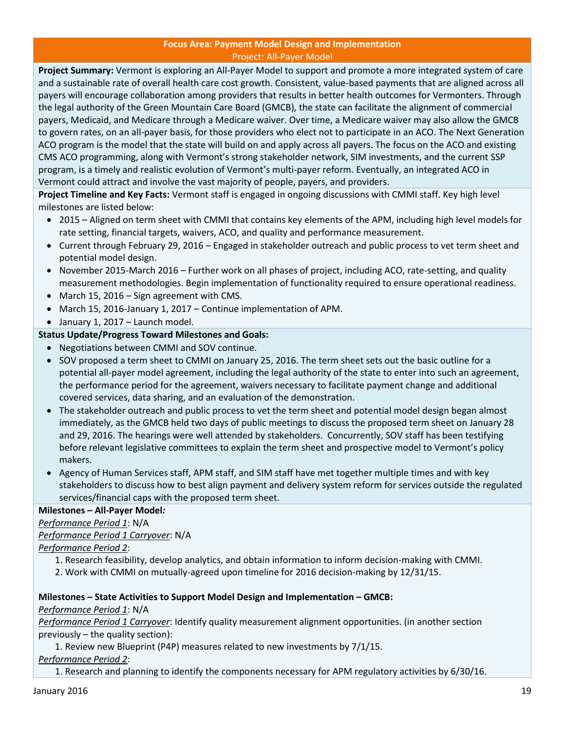#### **Focus Area: Payment Model Design and Implementation** Project: All-Payer Model

<span id="page-18-0"></span>**Project Summary:** Vermont is exploring an All-Payer Model to support and promote a more integrated system of care and a sustainable rate of overall health care cost growth. Consistent, value-based payments that are aligned across all payers will encourage collaboration among providers that results in better health outcomes for Vermonters. Through the legal authority of the Green Mountain Care Board (GMCB), the state can facilitate the alignment of commercial payers, Medicaid, and Medicare through a Medicare waiver. Over time, a Medicare waiver may also allow the GMCB to govern rates, on an all-payer basis, for those providers who elect not to participate in an ACO. The Next Generation ACO program is the model that the state will build on and apply across all payers. The focus on the ACO and existing CMS ACO programming, along with Vermont's strong stakeholder network, SIM investments, and the current SSP program, is a timely and realistic evolution of Vermont's multi-payer reform. Eventually, an integrated ACO in Vermont could attract and involve the vast majority of people, payers, and providers.

**Project Timeline and Key Facts:** Vermont staff is engaged in ongoing discussions with CMMI staff. Key high level milestones are listed below:

- 2015 Aligned on term sheet with CMMI that contains key elements of the APM, including high level models for rate setting, financial targets, waivers, ACO, and quality and performance measurement.
- Current through February 29, 2016 Engaged in stakeholder outreach and public process to vet term sheet and potential model design.
- November 2015-March 2016 Further work on all phases of project, including ACO, rate-setting, and quality measurement methodologies. Begin implementation of functionality required to ensure operational readiness.
- March 15, 2016 Sign agreement with CMS.
- March 15, 2016-January 1, 2017 Continue implementation of APM.
- January 1, 2017 Launch model.

#### **Status Update/Progress Toward Milestones and Goals:**

- Negotiations between CMMI and SOV continue.
- SOV proposed a term sheet to CMMI on January 25, 2016. The term sheet sets out the basic outline for a potential all-payer model agreement, including the legal authority of the state to enter into such an agreement, the performance period for the agreement, waivers necessary to facilitate payment change and additional covered services, data sharing, and an evaluation of the demonstration.
- The stakeholder outreach and public process to vet the term sheet and potential model design began almost immediately, as the GMCB held two days of public meetings to discuss the proposed term sheet on January 28 and 29, 2016. The hearings were well attended by stakeholders. Concurrently, SOV staff has been testifying before relevant legislative committees to explain the term sheet and prospective model to Vermont's policy makers.
- Agency of Human Services staff, APM staff, and SIM staff have met together multiple times and with key stakeholders to discuss how to best align payment and delivery system reform for services outside the regulated services/financial caps with the proposed term sheet.

#### **Milestones – All-Payer Model***:*

*Performance Period 1*: N/A *Performance Period 1 Carryover*: N/A

- *Performance Period 2*:
	- 1. Research feasibility, develop analytics, and obtain information to inform decision-making with CMMI.
	- 2. Work with CMMI on mutually-agreed upon timeline for 2016 decision-making by 12/31/15.

#### **Milestones – State Activities to Support Model Design and Implementation – GMCB:**

#### *Performance Period 1*: N/A

*Performance Period 1 Carryover*: Identify quality measurement alignment opportunities. (in another section previously – the quality section):

1. Review new Blueprint (P4P) measures related to new investments by 7/1/15.

*Performance Period 2*:

1. Research and planning to identify the components necessary for APM regulatory activities by 6/30/16.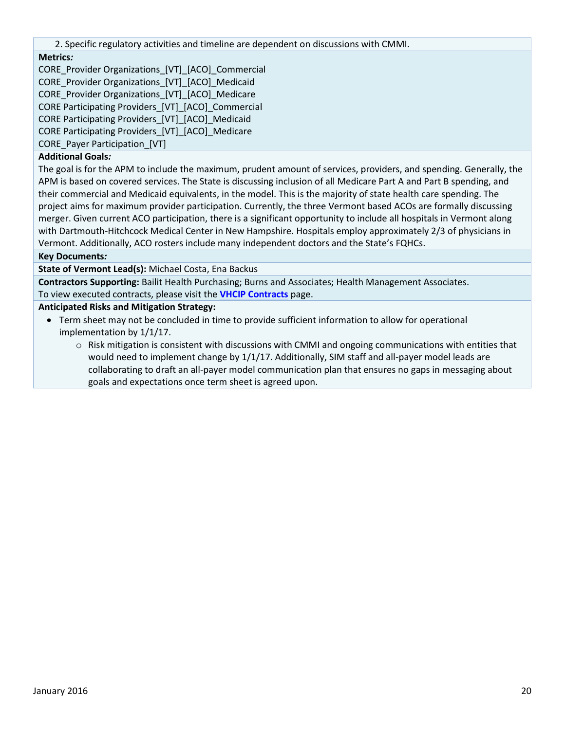2. Specific regulatory activities and timeline are dependent on discussions with CMMI.

#### **Metrics***:*

CORE\_Provider Organizations\_[VT]\_[ACO]\_Commercial CORE\_Provider Organizations\_[VT]\_[ACO]\_Medicaid CORE Provider Organizations [VT] [ACO] Medicare CORE Participating Providers\_[VT]\_[ACO]\_Commercial CORE Participating Providers\_[VT]\_[ACO]\_Medicaid CORE Participating Providers\_[VT]\_[ACO]\_Medicare CORE\_Payer Participation [VT]

#### **Additional Goals***:*

The goal is for the APM to include the maximum, prudent amount of services, providers, and spending. Generally, the APM is based on covered services. The State is discussing inclusion of all Medicare Part A and Part B spending, and their commercial and Medicaid equivalents, in the model. This is the majority of state health care spending. The project aims for maximum provider participation. Currently, the three Vermont based ACOs are formally discussing merger. Given current ACO participation, there is a significant opportunity to include all hospitals in Vermont along with Dartmouth-Hitchcock Medical Center in New Hampshire. Hospitals employ approximately 2/3 of physicians in Vermont. Additionally, ACO rosters include many independent doctors and the State's FQHCs.

#### **Key Documents***:*

**State of Vermont Lead(s):** Michael Costa, Ena Backus

**Contractors Supporting:** Bailit Health Purchasing; Burns and Associates; Health Management Associates. To view executed contracts, please visit the **[VHCIP Contracts](http://healthcareinnovation.vermont.gov/node/731)** page.

#### **Anticipated Risks and Mitigation Strategy:**

- Term sheet may not be concluded in time to provide sufficient information to allow for operational implementation by 1/1/17.
	- $\circ$  Risk mitigation is consistent with discussions with CMMI and ongoing communications with entities that would need to implement change by 1/1/17. Additionally, SIM staff and all-payer model leads are collaborating to draft an all-payer model communication plan that ensures no gaps in messaging about goals and expectations once term sheet is agreed upon.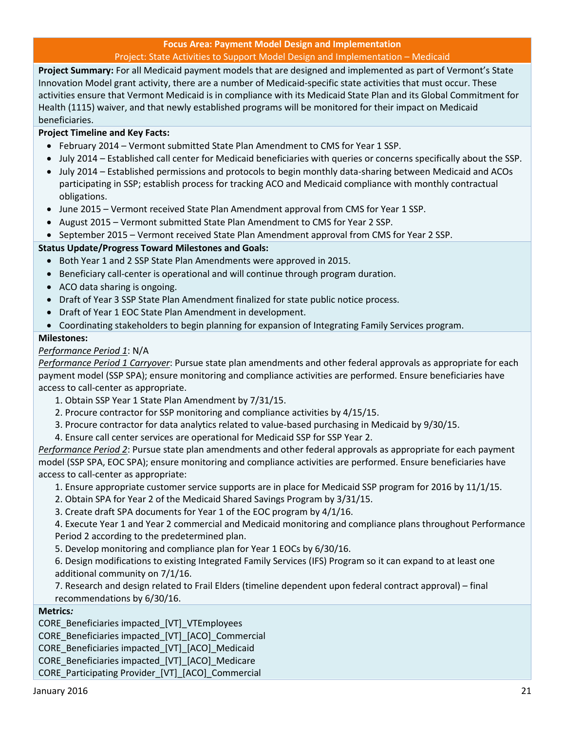#### **Focus Area: Payment Model Design and Implementation** Project: State Activities to Support Model Design and Implementation – Medicaid

<span id="page-20-0"></span>**Project Summary:** For all Medicaid payment models that are designed and implemented as part of Vermont's State Innovation Model grant activity, there are a number of Medicaid-specific state activities that must occur. These activities ensure that Vermont Medicaid is in compliance with its Medicaid State Plan and its Global Commitment for Health (1115) waiver, and that newly established programs will be monitored for their impact on Medicaid beneficiaries.

#### **Project Timeline and Key Facts:**

- February 2014 Vermont submitted State Plan Amendment to CMS for Year 1 SSP.
- July 2014 Established call center for Medicaid beneficiaries with queries or concerns specifically about the SSP.
- July 2014 Established permissions and protocols to begin monthly data-sharing between Medicaid and ACOs participating in SSP; establish process for tracking ACO and Medicaid compliance with monthly contractual obligations.
- June 2015 Vermont received State Plan Amendment approval from CMS for Year 1 SSP.
- August 2015 Vermont submitted State Plan Amendment to CMS for Year 2 SSP.
- September 2015 Vermont received State Plan Amendment approval from CMS for Year 2 SSP.

#### **Status Update/Progress Toward Milestones and Goals:**

- Both Year 1 and 2 SSP State Plan Amendments were approved in 2015.
- **Beneficiary call-center is operational and will continue through program duration.**
- ACO data sharing is ongoing.
- Draft of Year 3 SSP State Plan Amendment finalized for state public notice process.
- Draft of Year 1 EOC State Plan Amendment in development.
- Coordinating stakeholders to begin planning for expansion of Integrating Family Services program.

#### **Milestones:**

#### *Performance Period 1*: N/A

*Performance Period 1 Carryover*: Pursue state plan amendments and other federal approvals as appropriate for each payment model (SSP SPA); ensure monitoring and compliance activities are performed. Ensure beneficiaries have access to call-center as appropriate.

- 1. Obtain SSP Year 1 State Plan Amendment by 7/31/15.
- 2. Procure contractor for SSP monitoring and compliance activities by 4/15/15.
- 3. Procure contractor for data analytics related to value-based purchasing in Medicaid by 9/30/15.
- 4. Ensure call center services are operational for Medicaid SSP for SSP Year 2.

*Performance Period 2*: Pursue state plan amendments and other federal approvals as appropriate for each payment model (SSP SPA, EOC SPA); ensure monitoring and compliance activities are performed. Ensure beneficiaries have access to call-center as appropriate:

- 1. Ensure appropriate customer service supports are in place for Medicaid SSP program for 2016 by 11/1/15.
- 2. Obtain SPA for Year 2 of the Medicaid Shared Savings Program by 3/31/15.
- 3. Create draft SPA documents for Year 1 of the EOC program by 4/1/16.

4. Execute Year 1 and Year 2 commercial and Medicaid monitoring and compliance plans throughout Performance Period 2 according to the predetermined plan.

5. Develop monitoring and compliance plan for Year 1 EOCs by 6/30/16.

6. Design modifications to existing Integrated Family Services (IFS) Program so it can expand to at least one additional community on 7/1/16.

7. Research and design related to Frail Elders (timeline dependent upon federal contract approval) – final recommendations by 6/30/16.

#### **Metrics***:*

CORE\_Beneficiaries impacted\_[VT]\_VTEmployees

CORE\_Beneficiaries impacted\_[VT]\_[ACO]\_Commercial

CORE\_Beneficiaries impacted\_[VT]\_[ACO]\_Medicaid

CORE\_Beneficiaries impacted\_[VT]\_[ACO]\_Medicare

CORE\_Participating Provider\_[VT]\_[ACO]\_Commercial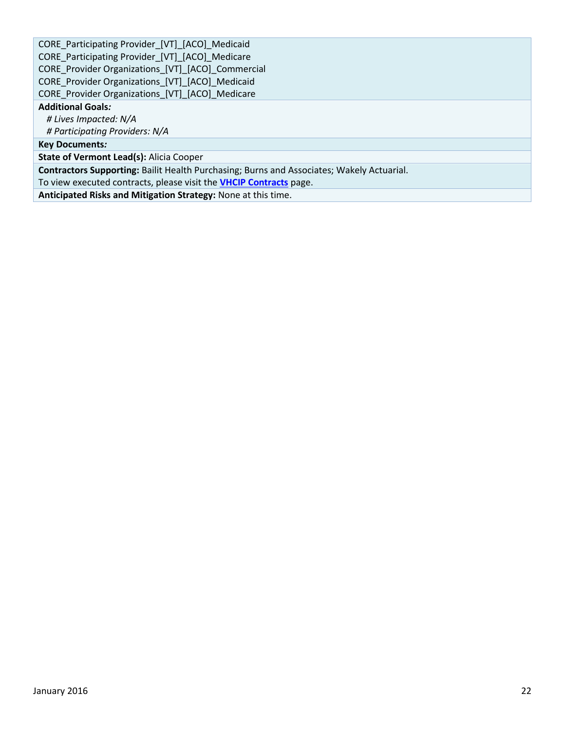CORE\_Participating Provider\_[VT]\_[ACO]\_Medicaid CORE\_Participating Provider\_[VT]\_[ACO]\_Medicare CORE\_Provider Organizations\_[VT]\_[ACO]\_Commercial CORE\_Provider Organizations\_[VT]\_[ACO]\_Medicaid CORE\_Provider Organizations\_[VT]\_[ACO]\_Medicare **Additional Goals***: # Lives Impacted: N/A # Participating Providers: N/A* **Key Documents***:* **State of Vermont Lead(s):** Alicia Cooper

**Contractors Supporting:** Bailit Health Purchasing; Burns and Associates; Wakely Actuarial.

To view executed contracts, please visit the **[VHCIP Contracts](http://healthcareinnovation.vermont.gov/node/731)** page.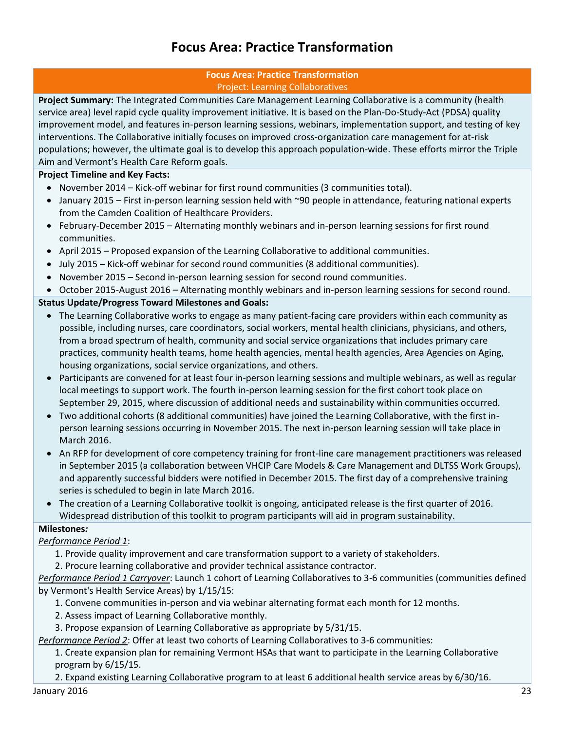### **Focus Area: Practice Transformation**

#### **Focus Area: Practice Transformation** Project: Learning Collaboratives

<span id="page-22-1"></span><span id="page-22-0"></span>**Project Summary:** The Integrated Communities Care Management Learning Collaborative is a community (health service area) level rapid cycle quality improvement initiative. It is based on the Plan-Do-Study-Act (PDSA) quality improvement model, and features in-person learning sessions, webinars, implementation support, and testing of key interventions. The Collaborative initially focuses on improved cross-organization care management for at-risk populations; however, the ultimate goal is to develop this approach population-wide. These efforts mirror the Triple Aim and Vermont's Health Care Reform goals.

#### **Project Timeline and Key Facts:**

- November 2014 Kick-off webinar for first round communities (3 communities total).
- January 2015 First in-person learning session held with ~90 people in attendance, featuring national experts from the Camden Coalition of Healthcare Providers.
- February-December 2015 Alternating monthly webinars and in-person learning sessions for first round communities.
- April 2015 Proposed expansion of the Learning Collaborative to additional communities.
- July 2015 Kick-off webinar for second round communities (8 additional communities).
- November 2015 Second in-person learning session for second round communities.
- October 2015-August 2016 Alternating monthly webinars and in-person learning sessions for second round.

#### **Status Update/Progress Toward Milestones and Goals:**

- The Learning Collaborative works to engage as many patient-facing care providers within each community as possible, including nurses, care coordinators, social workers, mental health clinicians, physicians, and others, from a broad spectrum of health, community and social service organizations that includes primary care practices, community health teams, home health agencies, mental health agencies, Area Agencies on Aging, housing organizations, social service organizations, and others.
- Participants are convened for at least four in-person learning sessions and multiple webinars, as well as regular local meetings to support work. The fourth in-person learning session for the first cohort took place on September 29, 2015, where discussion of additional needs and sustainability within communities occurred.
- Two additional cohorts (8 additional communities) have joined the Learning Collaborative, with the first inperson learning sessions occurring in November 2015. The next in-person learning session will take place in March 2016.
- An RFP for development of core competency training for front-line care management practitioners was released in September 2015 (a collaboration between VHCIP Care Models & Care Management and DLTSS Work Groups), and apparently successful bidders were notified in December 2015. The first day of a comprehensive training series is scheduled to begin in late March 2016.
- The creation of a Learning Collaborative toolkit is ongoing, anticipated release is the first quarter of 2016. Widespread distribution of this toolkit to program participants will aid in program sustainability.

#### **Milestones***:*

#### *Performance Period 1*:

- 1. Provide quality improvement and care transformation support to a variety of stakeholders.
- 2. Procure learning collaborative and provider technical assistance contractor.

*Performance Period 1 Carryover*: Launch 1 cohort of Learning Collaboratives to 3-6 communities (communities defined by Vermont's Health Service Areas) by 1/15/15:

- 1. Convene communities in-person and via webinar alternating format each month for 12 months.
- 2. Assess impact of Learning Collaborative monthly.
- 3. Propose expansion of Learning Collaborative as appropriate by 5/31/15.

*Performance Period 2*: Offer at least two cohorts of Learning Collaboratives to 3-6 communities:

1. Create expansion plan for remaining Vermont HSAs that want to participate in the Learning Collaborative program by 6/15/15.

2. Expand existing Learning Collaborative program to at least 6 additional health service areas by 6/30/16.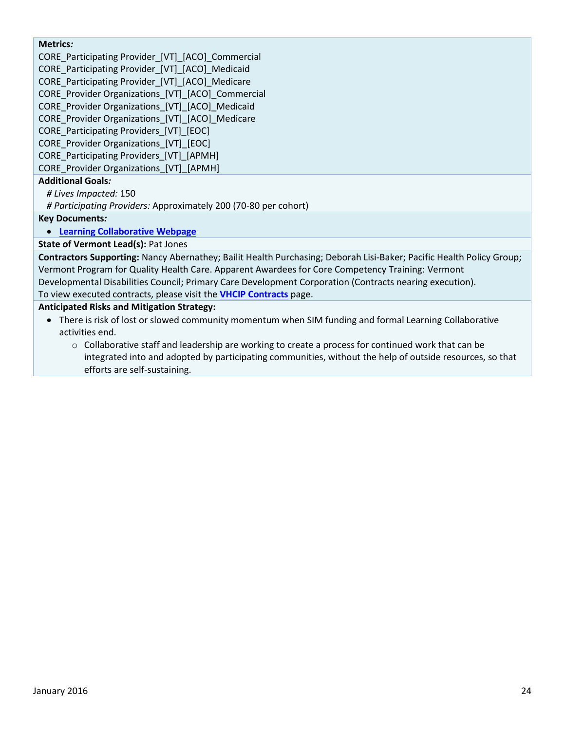#### **Metrics***:*

CORE\_Participating Provider\_[VT]\_[ACO]\_Commercial CORE\_Participating Provider\_[VT]\_[ACO]\_Medicaid CORE Participating Provider [VT] [ACO] Medicare CORE Provider Organizations [VT] [ACO] Commercial CORE Provider Organizations [VT] [ACO] Medicaid CORE Provider Organizations [VT] [ACO] Medicare CORE Participating Providers [VT] [EOC] CORE Provider Organizations [VT] [EOC] CORE\_Participating Providers\_[VT]\_[APMH] CORE\_Provider Organizations\_[VT]\_[APMH]

#### **Additional Goals***:*

*# Lives Impacted:* 150

*# Participating Providers:* Approximately 200 (70-80 per cohort)

**Key Documents***:*

#### **[Learning Collaborative Webpage](http://healthcareinnovation.vermont.gov/node/859)**

**State of Vermont Lead(s):** Pat Jones

**Contractors Supporting:** Nancy Abernathey; Bailit Health Purchasing; Deborah Lisi-Baker; Pacific Health Policy Group; Vermont Program for Quality Health Care. Apparent Awardees for Core Competency Training: Vermont Developmental Disabilities Council; Primary Care Development Corporation (Contracts nearing execution). To view executed contracts, please visit the **[VHCIP Contracts](http://healthcareinnovation.vermont.gov/node/731)** page.

#### **Anticipated Risks and Mitigation Strategy:**

- There is risk of lost or slowed community momentum when SIM funding and formal Learning Collaborative activities end.
	- $\circ$  Collaborative staff and leadership are working to create a process for continued work that can be integrated into and adopted by participating communities, without the help of outside resources, so that efforts are self-sustaining.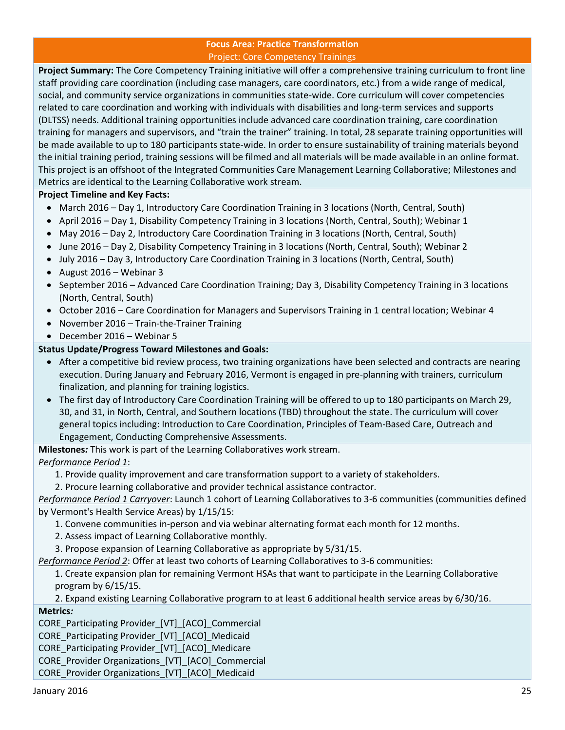#### **Focus Area: Practice Transformation** Project: Core Competency Trainings

<span id="page-24-0"></span>**Project Summary:** The Core Competency Training initiative will offer a comprehensive training curriculum to front line staff providing care coordination (including case managers, care coordinators, etc.) from a wide range of medical, social, and community service organizations in communities state-wide. Core curriculum will cover competencies related to care coordination and working with individuals with disabilities and long-term services and supports (DLTSS) needs. Additional training opportunities include advanced care coordination training, care coordination training for managers and supervisors, and "train the trainer" training. In total, 28 separate training opportunities will be made available to up to 180 participants state-wide. In order to ensure sustainability of training materials beyond the initial training period, training sessions will be filmed and all materials will be made available in an online format. This project is an offshoot of the Integrated Communities Care Management Learning Collaborative; Milestones and Metrics are identical to the Learning Collaborative work stream.

#### **Project Timeline and Key Facts:**

- March 2016 Day 1, Introductory Care Coordination Training in 3 locations (North, Central, South)
- April 2016 Day 1, Disability Competency Training in 3 locations (North, Central, South); Webinar 1
- May 2016 Day 2, Introductory Care Coordination Training in 3 locations (North, Central, South)
- June 2016 Day 2, Disability Competency Training in 3 locations (North, Central, South); Webinar 2
- July 2016 Day 3, Introductory Care Coordination Training in 3 locations (North, Central, South)
- August  $2016$  Webinar 3
- September 2016 Advanced Care Coordination Training; Day 3, Disability Competency Training in 3 locations (North, Central, South)
- October 2016 Care Coordination for Managers and Supervisors Training in 1 central location; Webinar 4
- November 2016 Train-the-Trainer Training
- December 2016 Webinar 5

#### **Status Update/Progress Toward Milestones and Goals:**

- After a competitive bid review process, two training organizations have been selected and contracts are nearing execution. During January and February 2016, Vermont is engaged in pre-planning with trainers, curriculum finalization, and planning for training logistics.
- The first day of Introductory Care Coordination Training will be offered to up to 180 participants on March 29, 30, and 31, in North, Central, and Southern locations (TBD) throughout the state. The curriculum will cover general topics including: Introduction to Care Coordination, Principles of Team-Based Care, Outreach and Engagement, Conducting Comprehensive Assessments.

**Milestones***:* This work is part of the Learning Collaboratives work stream.

#### *Performance Period 1*:

- 1. Provide quality improvement and care transformation support to a variety of stakeholders.
- 2. Procure learning collaborative and provider technical assistance contractor.

*Performance Period 1 Carryover*: Launch 1 cohort of Learning Collaboratives to 3-6 communities (communities defined by Vermont's Health Service Areas) by 1/15/15:

- 1. Convene communities in-person and via webinar alternating format each month for 12 months.
- 2. Assess impact of Learning Collaborative monthly.
- 3. Propose expansion of Learning Collaborative as appropriate by 5/31/15.
- *Performance Period 2*: Offer at least two cohorts of Learning Collaboratives to 3-6 communities:

1. Create expansion plan for remaining Vermont HSAs that want to participate in the Learning Collaborative program by 6/15/15.

2. Expand existing Learning Collaborative program to at least 6 additional health service areas by 6/30/16.

#### **Metrics***:*

CORE\_Participating Provider\_[VT]\_[ACO]\_Commercial

CORE Participating Provider [VT] [ACO] Medicaid

CORE\_Participating Provider\_[VT]\_[ACO]\_Medicare

CORE Provider Organizations [VT] [ACO] Commercial

CORE\_Provider Organizations\_[VT]\_[ACO]\_Medicaid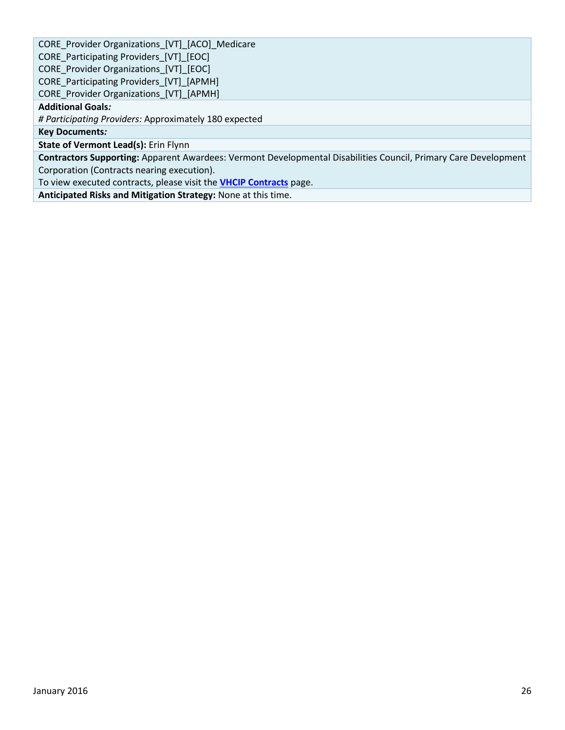CORE\_Provider Organizations\_[VT]\_[ACO]\_Medicare CORE\_Participating Providers\_[VT]\_[EOC] CORE\_Provider Organizations\_[VT]\_[EOC] CORE Participating Providers [VT] [APMH] CORE\_Provider Organizations\_[VT]\_[APMH] **Additional Goals***: # Participating Providers:* Approximately 180 expected **Key Documents***:* **State of Vermont Lead(s):** Erin Flynn **Contractors Supporting:** Apparent Awardees: Vermont Developmental Disabilities Council, Primary Care Development Corporation (Contracts nearing execution). To view executed contracts, please visit the **[VHCIP Contracts](http://healthcareinnovation.vermont.gov/node/731)** page.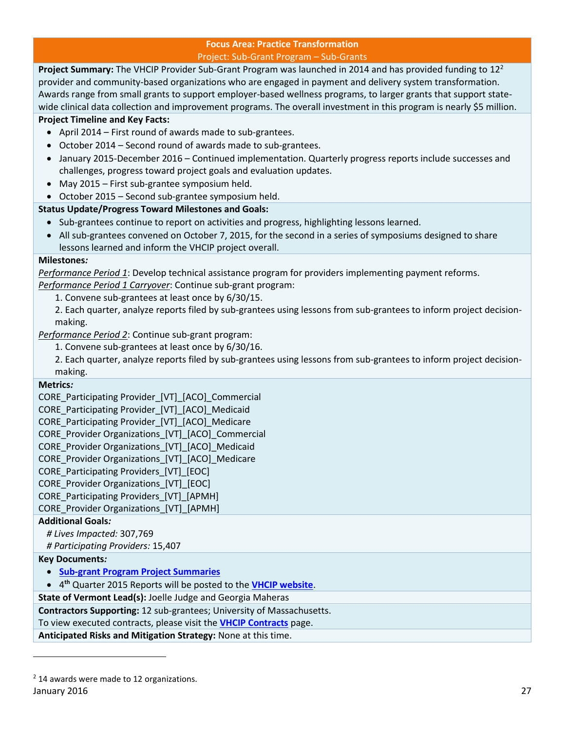#### **Focus Area: Practice Transformation** Project: Sub-Grant Program – Sub-Grants

<span id="page-26-0"></span>Project Summary: The VHCIP Provider Sub-Grant Program was launched in 2014 and has provided funding to 12<sup>2</sup> provider and community-based organizations who are engaged in payment and delivery system transformation. Awards range from small grants to support employer-based wellness programs, to larger grants that support statewide clinical data collection and improvement programs. The overall investment in this program is nearly \$5 million.

#### **Project Timeline and Key Facts:**

- April 2014 First round of awards made to sub-grantees.
- October 2014 Second round of awards made to sub-grantees.
- January 2015-December 2016 Continued implementation. Quarterly progress reports include successes and challenges, progress toward project goals and evaluation updates.
- May 2015 First sub-grantee symposium held.
- October 2015 Second sub-grantee symposium held.

#### **Status Update/Progress Toward Milestones and Goals:**

- Sub-grantees continue to report on activities and progress, highlighting lessons learned.
- All sub-grantees convened on October 7, 2015, for the second in a series of symposiums designed to share lessons learned and inform the VHCIP project overall.

#### **Milestones***:*

*Performance Period 1*: Develop technical assistance program for providers implementing payment reforms. *Performance Period 1 Carryover*: Continue sub-grant program:

- 1. Convene sub-grantees at least once by 6/30/15.
- 2. Each quarter, analyze reports filed by sub-grantees using lessons from sub-grantees to inform project decisionmaking.

*Performance Period 2*: Continue sub-grant program:

- 1. Convene sub-grantees at least once by 6/30/16.
- 2. Each quarter, analyze reports filed by sub-grantees using lessons from sub-grantees to inform project decisionmaking.

#### **Metrics***:*

CORE\_Participating Provider\_[VT]\_[ACO]\_Commercial

CORE\_Participating Provider\_[VT]\_[ACO]\_Medicaid

CORE Participating Provider [VT] [ACO] Medicare

CORE Provider Organizations [VT] [ACO] Commercial

CORE Provider Organizations [VT] [ACO] Medicaid

CORE Provider Organizations [VT] [ACO] Medicare

CORE Participating Providers [VT] [EOC]

CORE Provider Organizations [VT] [EOC]

CORE\_Participating Providers\_[VT]\_[APMH]

CORE\_Provider Organizations\_[VT]\_[APMH]

#### **Additional Goals***:*

*# Lives Impacted:* 307,769

*# Participating Providers:* 15,407

#### **Key Documents***:*

**[Sub-grant Program Project Summaries](http://healthcareinnovation.vermont.gov/sites/hcinnovation/files/Grant_Program/Round%20One%20and%20Two%20Grant%20Awardees%20Project%20Summaries.pdf)**

4 **th** Quarter 2015 Reports will be posted to the **[VHCIP website](http://healthcareinnovation.vermont.gov/sites/hcinnovation/files/Grant_Program/VHCIP%20Q3%202015%20Provider%20Subgrant%20Reports.pdf)**.

#### **State of Vermont Lead(s):** Joelle Judge and Georgia Maheras

**Contractors Supporting:** 12 sub-grantees; University of Massachusetts.

To view executed contracts, please visit the **[VHCIP Contracts](http://healthcareinnovation.vermont.gov/node/731)** page.

**Anticipated Risks and Mitigation Strategy:** None at this time.

l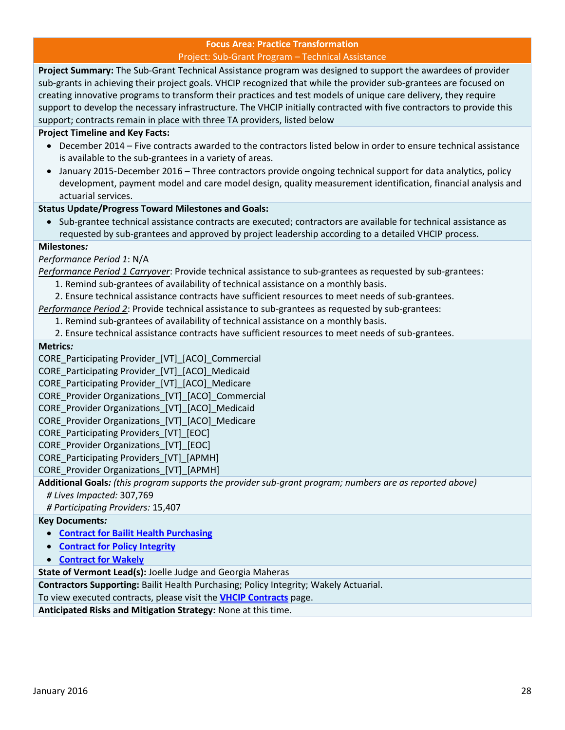#### **Focus Area: Practice Transformation** Project: Sub-Grant Program – Technical Assistance

<span id="page-27-0"></span>**Project Summary:** The Sub-Grant Technical Assistance program was designed to support the awardees of provider sub-grants in achieving their project goals. VHCIP recognized that while the provider sub-grantees are focused on creating innovative programs to transform their practices and test models of unique care delivery, they require support to develop the necessary infrastructure. The VHCIP initially contracted with five contractors to provide this support; contracts remain in place with three TA providers, listed below

#### **Project Timeline and Key Facts:**

- December 2014 Five contracts awarded to the contractors listed below in order to ensure technical assistance is available to the sub-grantees in a variety of areas.
- January 2015-December 2016 Three contractors provide ongoing technical support for data analytics, policy development, payment model and care model design, quality measurement identification, financial analysis and actuarial services.

#### **Status Update/Progress Toward Milestones and Goals:**

 Sub-grantee technical assistance contracts are executed; contractors are available for technical assistance as requested by sub-grantees and approved by project leadership according to a detailed VHCIP process.

#### **Milestones***:*

*Performance Period 1*: N/A

*Performance Period 1 Carryover*: Provide technical assistance to sub-grantees as requested by sub-grantees:

- 1. Remind sub-grantees of availability of technical assistance on a monthly basis.
- 2. Ensure technical assistance contracts have sufficient resources to meet needs of sub-grantees.

*Performance Period 2*: Provide technical assistance to sub-grantees as requested by sub-grantees:

1. Remind sub-grantees of availability of technical assistance on a monthly basis.

2. Ensure technical assistance contracts have sufficient resources to meet needs of sub-grantees.

#### **Metrics***:*

CORE\_Participating Provider\_[VT]\_[ACO]\_Commercial

- CORE\_Participating Provider\_[VT]\_[ACO]\_Medicaid
- CORE Participating Provider [VT] [ACO] Medicare

CORE Provider Organizations [VT] [ACO] Commercial

- CORE\_Provider Organizations\_[VT]\_[ACO]\_Medicaid
- CORE\_Provider Organizations\_[VT]\_[ACO]\_Medicare
- CORE Participating Providers [VT] [EOC]
- CORE\_Provider Organizations\_[VT]\_[EOC]

CORE Participating Providers [VT] [APMH]

CORE\_Provider Organizations\_[VT]\_[APMH]

**Additional Goals***: (this program supports the provider sub-grant program; numbers are as reported above) # Lives Impacted:* 307,769

*# Participating Providers:* 15,407

#### **Key Documents***:*

- **[Contract for Bailit Health Purchasing](http://healthcareinnovation.vermont.gov/sites/hcinnovation/files/Contracts/26095-a2_Bailit_Health_Amendment_2_Signed.pdf)**
- **[Contract for Policy Integrity](http://healthcareinnovation.vermont.gov/sites/hcinnovation/files/Contracts/26294_Policy_Integrity-Signed.pdf)**
- **[Contract for Wakely](http://healthcareinnovation.vermont.gov/sites/hcinnovation/files/Contracts/26303-Wakely_Consulting.pdf)**

**State of Vermont Lead(s):** Joelle Judge and Georgia Maheras

**Contractors Supporting:** Bailit Health Purchasing; Policy Integrity; Wakely Actuarial.

To view executed contracts, please visit the **[VHCIP Contracts](http://healthcareinnovation.vermont.gov/node/731)** page.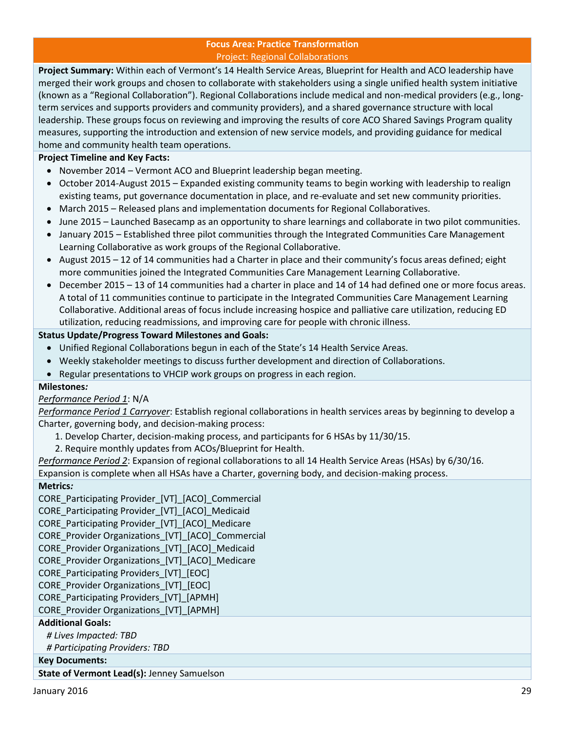#### **Focus Area: Practice Transformation** Project: Regional Collaborations

<span id="page-28-0"></span>**Project Summary:** Within each of Vermont's 14 Health Service Areas, Blueprint for Health and ACO leadership have merged their work groups and chosen to collaborate with stakeholders using a single unified health system initiative (known as a "Regional Collaboration"). Regional Collaborations include medical and non-medical providers (e.g., longterm services and supports providers and community providers), and a shared governance structure with local leadership. These groups focus on reviewing and improving the results of core ACO Shared Savings Program quality measures, supporting the introduction and extension of new service models, and providing guidance for medical home and community health team operations.

#### **Project Timeline and Key Facts:**

- November 2014 Vermont ACO and Blueprint leadership began meeting.
- October 2014-August 2015 Expanded existing community teams to begin working with leadership to realign existing teams, put governance documentation in place, and re-evaluate and set new community priorities.
- March 2015 Released plans and implementation documents for Regional Collaboratives.
- June 2015 Launched Basecamp as an opportunity to share learnings and collaborate in two pilot communities.
- January 2015 Established three pilot communities through the Integrated Communities Care Management Learning Collaborative as work groups of the Regional Collaborative.
- August 2015 12 of 14 communities had a Charter in place and their community's focus areas defined; eight more communities joined the Integrated Communities Care Management Learning Collaborative.
- December 2015 13 of 14 communities had a charter in place and 14 of 14 had defined one or more focus areas. A total of 11 communities continue to participate in the Integrated Communities Care Management Learning Collaborative. Additional areas of focus include increasing hospice and palliative care utilization, reducing ED utilization, reducing readmissions, and improving care for people with chronic illness.

#### **Status Update/Progress Toward Milestones and Goals:**

- Unified Regional Collaborations begun in each of the State's 14 Health Service Areas.
- Weekly stakeholder meetings to discuss further development and direction of Collaborations.
- Regular presentations to VHCIP work groups on progress in each region.

#### **Milestones***:*

#### *Performance Period 1*: N/A

*Performance Period 1 Carryover*: Establish regional collaborations in health services areas by beginning to develop a Charter, governing body, and decision-making process:

- 1. Develop Charter, decision-making process, and participants for 6 HSAs by 11/30/15.
- 2. Require monthly updates from ACOs/Blueprint for Health.

*Performance Period 2*: Expansion of regional collaborations to all 14 Health Service Areas (HSAs) by 6/30/16.

Expansion is complete when all HSAs have a Charter, governing body, and decision-making process.

#### **Metrics***:*

CORE Participating Provider [VT] [ACO] Commercial CORE\_Participating Provider\_[VT]\_[ACO]\_Medicaid CORE\_Participating Provider\_[VT]\_[ACO]\_Medicare CORE\_Provider Organizations\_[VT]\_[ACO]\_Commercial CORE\_Provider Organizations\_[VT]\_[ACO]\_Medicaid CORE\_Provider Organizations\_[VT]\_[ACO]\_Medicare CORE\_Participating Providers\_[VT]\_[EOC] CORE Provider Organizations [VT] [EOC] CORE Participating Providers [VT] [APMH] CORE Provider Organizations [VT] [APMH] **Additional Goals:** *# Lives Impacted: TBD # Participating Providers: TBD* **Key Documents:**

**State of Vermont Lead(s):** Jenney Samuelson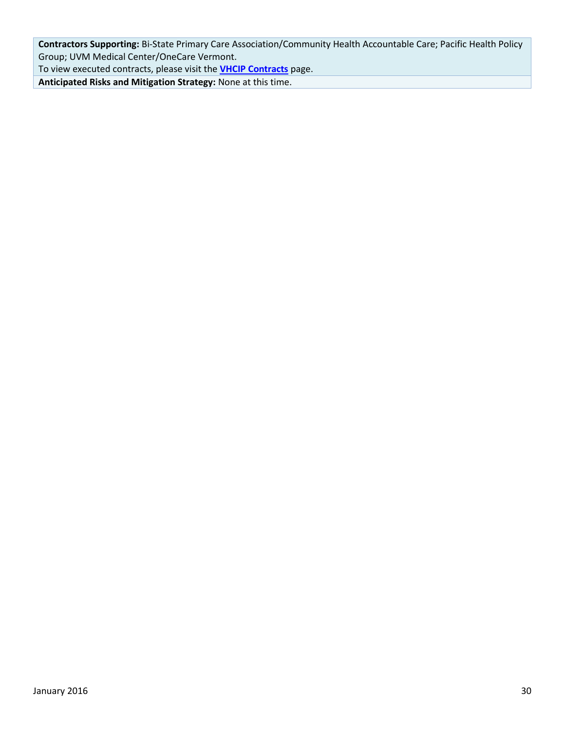**Contractors Supporting:** Bi-State Primary Care Association/Community Health Accountable Care; Pacific Health Policy Group; UVM Medical Center/OneCare Vermont.

To view executed contracts, please visit the **[VHCIP Contracts](http://healthcareinnovation.vermont.gov/node/731)** page.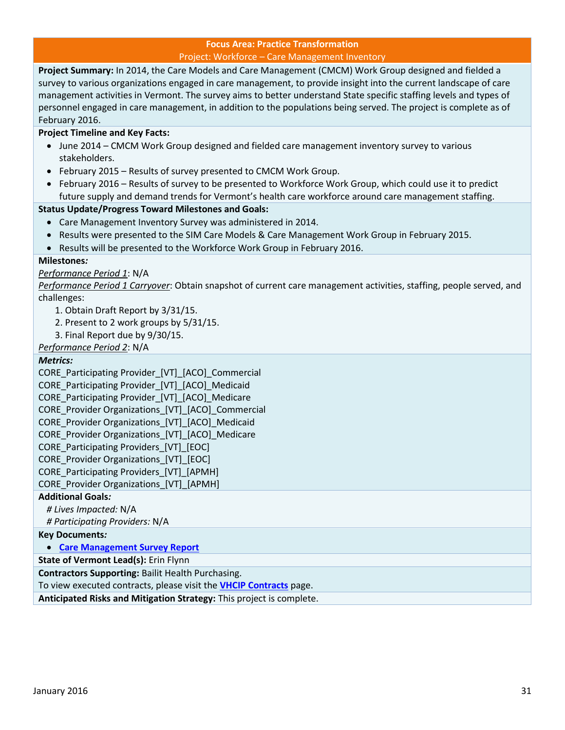#### **Focus Area: Practice Transformation** Project: Workforce – Care Management Inventory

<span id="page-30-0"></span>**Project Summary:** In 2014, the Care Models and Care Management (CMCM) Work Group designed and fielded a survey to various organizations engaged in care management, to provide insight into the current landscape of care management activities in Vermont. The survey aims to better understand State specific staffing levels and types of personnel engaged in care management, in addition to the populations being served. The project is complete as of February 2016.

#### **Project Timeline and Key Facts:**

- June 2014 CMCM Work Group designed and fielded care management inventory survey to various stakeholders.
- February 2015 Results of survey presented to CMCM Work Group.
- February 2016 Results of survey to be presented to Workforce Work Group, which could use it to predict future supply and demand trends for Vermont's health care workforce around care management staffing.

#### **Status Update/Progress Toward Milestones and Goals:**

- Care Management Inventory Survey was administered in 2014.
- Results were presented to the SIM Care Models & Care Management Work Group in February 2015.
- Results will be presented to the Workforce Work Group in February 2016.

#### **Milestones***:*

#### *Performance Period 1*: N/A

*Performance Period 1 Carryover*: Obtain snapshot of current care management activities, staffing, people served, and challenges:

- 1. Obtain Draft Report by 3/31/15.
- 2. Present to 2 work groups by 5/31/15.
- 3. Final Report due by 9/30/15.
- *Performance Period 2*: N/A

#### *Metrics:*

CORE\_Participating Provider\_[VT]\_[ACO]\_Commercial CORE\_Participating Provider\_[VT]\_[ACO]\_Medicaid CORE Participating Provider [VT] [ACO] Medicare CORE\_Provider Organizations\_[VT]\_[ACO]\_Commercial CORE Provider Organizations [VT] [ACO] Medicaid CORE Provider Organizations [VT] [ACO] Medicare CORE Participating Providers [VT] [EOC] CORE Provider Organizations [VT] [EOC] CORE\_Participating Providers\_[VT]\_[APMH] CORE\_Provider Organizations\_[VT]\_[APMH] **Additional Goals***: # Lives Impacted:* N/A

*# Participating Providers:* N/A

#### **Key Documents***:*

**[Care Management Survey Report](http://healthcareinnovation.vermont.gov/sites/hcinnovation/files/CMCM/CMCM%20Survey%20Report%202015-03-09%20FINAL.pdf)**

**State of Vermont Lead(s):** Erin Flynn

**Contractors Supporting:** Bailit Health Purchasing.

To view executed contracts, please visit the **[VHCIP Contracts](http://healthcareinnovation.vermont.gov/node/731)** page.

**Anticipated Risks and Mitigation Strategy:** This project is complete.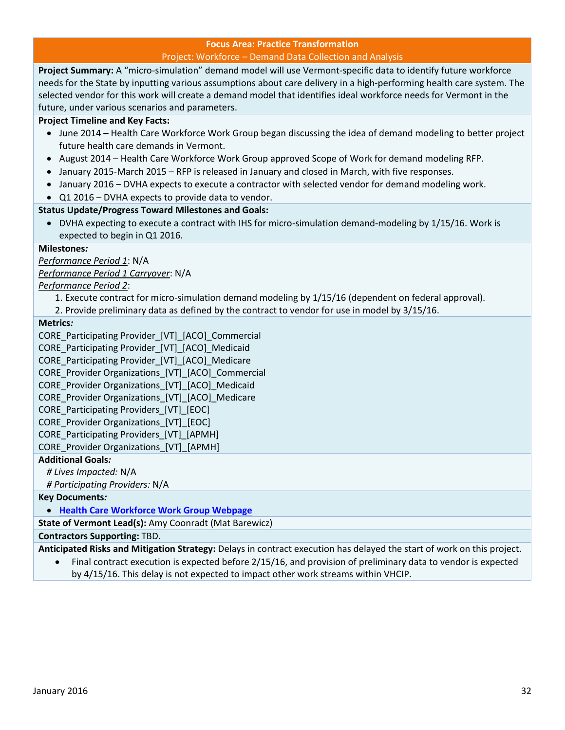#### **Focus Area: Practice Transformation** Project: Workforce – Demand Data Collection and Analysis

<span id="page-31-0"></span>**Project Summary:** A "micro-simulation" demand model will use Vermont-specific data to identify future workforce needs for the State by inputting various assumptions about care delivery in a high-performing health care system. The selected vendor for this work will create a demand model that identifies ideal workforce needs for Vermont in the future, under various scenarios and parameters.

#### **Project Timeline and Key Facts:**

- June 2014 **–** Health Care Workforce Work Group began discussing the idea of demand modeling to better project future health care demands in Vermont.
- August 2014 Health Care Workforce Work Group approved Scope of Work for demand modeling RFP.
- January 2015-March 2015 RFP is released in January and closed in March, with five responses.
- January 2016 DVHA expects to execute a contractor with selected vendor for demand modeling work.
- Q1 2016 DVHA expects to provide data to vendor.

#### **Status Update/Progress Toward Milestones and Goals:**

 DVHA expecting to execute a contract with IHS for micro-simulation demand-modeling by 1/15/16. Work is expected to begin in Q1 2016.

#### **Milestones***:*

*Performance Period 1*: N/A

*Performance Period 1 Carryover*: N/A

#### *Performance Period 2*:

- 1. Execute contract for micro-simulation demand modeling by 1/15/16 (dependent on federal approval).
- 2. Provide preliminary data as defined by the contract to vendor for use in model by 3/15/16.

#### **Metrics***:*

CORE Participating Provider [VT] [ACO] Commercial CORE\_Participating Provider\_[VT]\_[ACO]\_Medicaid CORE\_Participating Provider\_[VT]\_[ACO]\_Medicare CORE\_Provider Organizations\_[VT]\_[ACO]\_Commercial CORE\_Provider Organizations\_[VT]\_[ACO]\_Medicaid CORE Provider Organizations [VT] [ACO] Medicare CORE Participating Providers [VT] [EOC] CORE Provider Organizations [VT] [EOC] CORE Participating Providers [VT] [APMH] CORE\_Provider Organizations\_[VT]\_[APMH] **Additional Goals***:*

*# Lives Impacted:* N/A

*# Participating Providers:* N/A

#### **Key Documents***:*

**[Health Care Workforce Work Group Webpage](http://healthcareinnovation.vermont.gov/work_groups/workforce)**

**State of Vermont Lead(s):** Amy Coonradt (Mat Barewicz)

**Contractors Supporting:** TBD.

**Anticipated Risks and Mitigation Strategy:** Delays in contract execution has delayed the start of work on this project.

 Final contract execution is expected before 2/15/16, and provision of preliminary data to vendor is expected by 4/15/16. This delay is not expected to impact other work streams within VHCIP.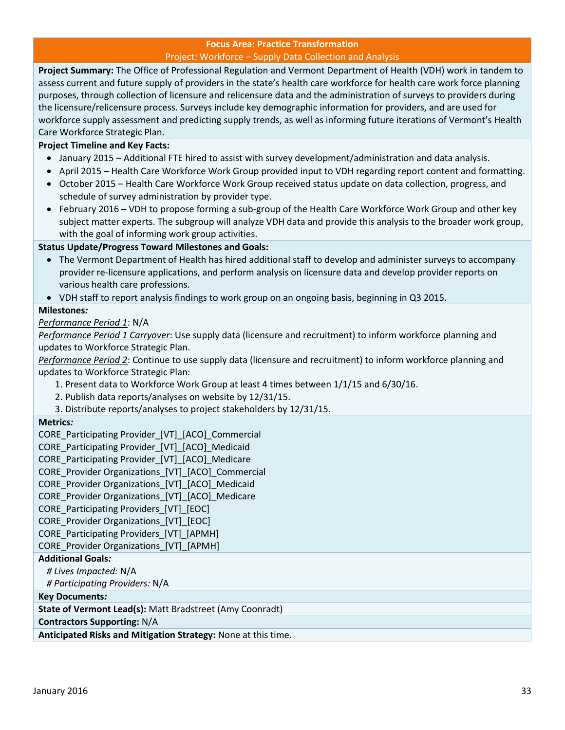#### **Focus Area: Practice Transformation** Project: Workforce – Supply Data Collection and Analysis

<span id="page-32-0"></span>**Project Summary:** The Office of Professional Regulation and Vermont Department of Health (VDH) work in tandem to assess current and future supply of providers in the state's health care workforce for health care work force planning purposes, through collection of licensure and relicensure data and the administration of surveys to providers during the licensure/relicensure process. Surveys include key demographic information for providers, and are used for workforce supply assessment and predicting supply trends, as well as informing future iterations of Vermont's Health Care Workforce Strategic Plan.

#### **Project Timeline and Key Facts:**

- January 2015 Additional FTE hired to assist with survey development/administration and data analysis.
- April 2015 Health Care Workforce Work Group provided input to VDH regarding report content and formatting.
- October 2015 Health Care Workforce Work Group received status update on data collection, progress, and schedule of survey administration by provider type.
- February 2016 VDH to propose forming a sub-group of the Health Care Workforce Work Group and other key subject matter experts. The subgroup will analyze VDH data and provide this analysis to the broader work group, with the goal of informing work group activities.

#### **Status Update/Progress Toward Milestones and Goals:**

- The Vermont Department of Health has hired additional staff to develop and administer surveys to accompany provider re-licensure applications, and perform analysis on licensure data and develop provider reports on various health care professions.
- VDH staff to report analysis findings to work group on an ongoing basis, beginning in Q3 2015.

#### **Milestones***:*

*Performance Period 1*: N/A

*Performance Period 1 Carryover*: Use supply data (licensure and recruitment) to inform workforce planning and updates to Workforce Strategic Plan.

*Performance Period 2*: Continue to use supply data (licensure and recruitment) to inform workforce planning and updates to Workforce Strategic Plan:

- 1. Present data to Workforce Work Group at least 4 times between 1/1/15 and 6/30/16.
- 2. Publish data reports/analyses on website by 12/31/15.
- 3. Distribute reports/analyses to project stakeholders by 12/31/15.

#### **Metrics***:*

CORE\_Participating Provider [VT] [ACO] Commercial

CORE\_Participating Provider\_[VT]\_[ACO]\_Medicaid

- CORE Participating Provider [VT] [ACO] Medicare
- CORE\_Provider Organizations\_[VT]\_[ACO]\_Commercial
- CORE Provider Organizations [VT] [ACO] Medicaid

CORE\_Provider Organizations\_[VT]\_[ACO]\_Medicare

- CORE Participating Providers [VT] [EOC]
- CORE\_Provider Organizations\_[VT]\_[EOC]

CORE Participating Providers [VT] [APMH]

CORE\_Provider Organizations\_[VT]\_[APMH]

#### **Additional Goals***:*

*# Lives Impacted:* N/A

*# Participating Providers:* N/A

**Key Documents***:*

**State of Vermont Lead(s):** Matt Bradstreet (Amy Coonradt)

#### **Contractors Supporting:** N/A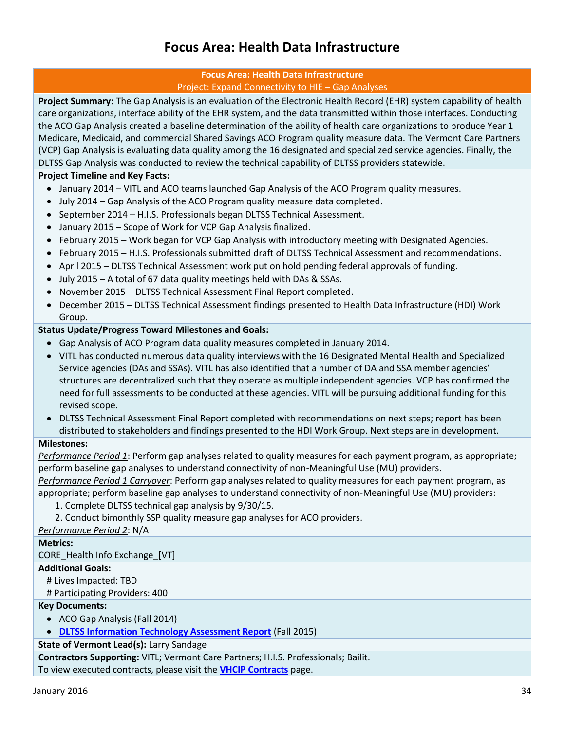### **Focus Area: Health Data Infrastructure**

#### **Focus Area: Health Data Infrastructure** Project: Expand Connectivity to HIE – Gap Analyses

<span id="page-33-1"></span><span id="page-33-0"></span>**Project Summary:** The Gap Analysis is an evaluation of the Electronic Health Record (EHR) system capability of health care organizations, interface ability of the EHR system, and the data transmitted within those interfaces. Conducting the ACO Gap Analysis created a baseline determination of the ability of health care organizations to produce Year 1 Medicare, Medicaid, and commercial Shared Savings ACO Program quality measure data. The Vermont Care Partners (VCP) Gap Analysis is evaluating data quality among the 16 designated and specialized service agencies. Finally, the DLTSS Gap Analysis was conducted to review the technical capability of DLTSS providers statewide.

#### **Project Timeline and Key Facts:**

- January 2014 VITL and ACO teams launched Gap Analysis of the ACO Program quality measures.
- July 2014 Gap Analysis of the ACO Program quality measure data completed.
- September 2014 H.I.S. Professionals began DLTSS Technical Assessment.
- January 2015 Scope of Work for VCP Gap Analysis finalized.
- February 2015 Work began for VCP Gap Analysis with introductory meeting with Designated Agencies.
- February 2015 H.I.S. Professionals submitted draft of DLTSS Technical Assessment and recommendations.
- April 2015 DLTSS Technical Assessment work put on hold pending federal approvals of funding.
- July 2015 A total of 67 data quality meetings held with DAs & SSAs.
- November 2015 DLTSS Technical Assessment Final Report completed.
- December 2015 DLTSS Technical Assessment findings presented to Health Data Infrastructure (HDI) Work Group.

#### **Status Update/Progress Toward Milestones and Goals:**

- Gap Analysis of ACO Program data quality measures completed in January 2014.
- VITL has conducted numerous data quality interviews with the 16 Designated Mental Health and Specialized Service agencies (DAs and SSAs). VITL has also identified that a number of DA and SSA member agencies' structures are decentralized such that they operate as multiple independent agencies. VCP has confirmed the need for full assessments to be conducted at these agencies. VITL will be pursuing additional funding for this revised scope.
- DLTSS Technical Assessment Final Report completed with recommendations on next steps; report has been distributed to stakeholders and findings presented to the HDI Work Group. Next steps are in development.

#### **Milestones:**

*Performance Period 1*: Perform gap analyses related to quality measures for each payment program, as appropriate; perform baseline gap analyses to understand connectivity of non-Meaningful Use (MU) providers.

*Performance Period 1 Carryover*: Perform gap analyses related to quality measures for each payment program, as appropriate; perform baseline gap analyses to understand connectivity of non-Meaningful Use (MU) providers:

- 1. Complete DLTSS technical gap analysis by 9/30/15.
- 2. Conduct bimonthly SSP quality measure gap analyses for ACO providers.

#### *Performance Period 2*: N/A

#### **Metrics:**

CORE\_Health Info Exchange\_[VT]

#### **Additional Goals:**

# Lives Impacted: TBD

# Participating Providers: 400

#### **Key Documents:**

- ACO Gap Analysis (Fall 2014)
- **[DLTSS Information Technology Assessment Report](http://healthcareinnovation.vermont.gov/sites/hcinnovation/files/Resources/VHCIP%20LTSS%20Assessment%20Report%20FINAL.v2.pdf)** (Fall 2015)

**State of Vermont Lead(s):** Larry Sandage

**Contractors Supporting:** VITL; Vermont Care Partners; H.I.S. Professionals; Bailit.

To view executed contracts, please visit the **[VHCIP Contracts](http://healthcareinnovation.vermont.gov/node/731)** page.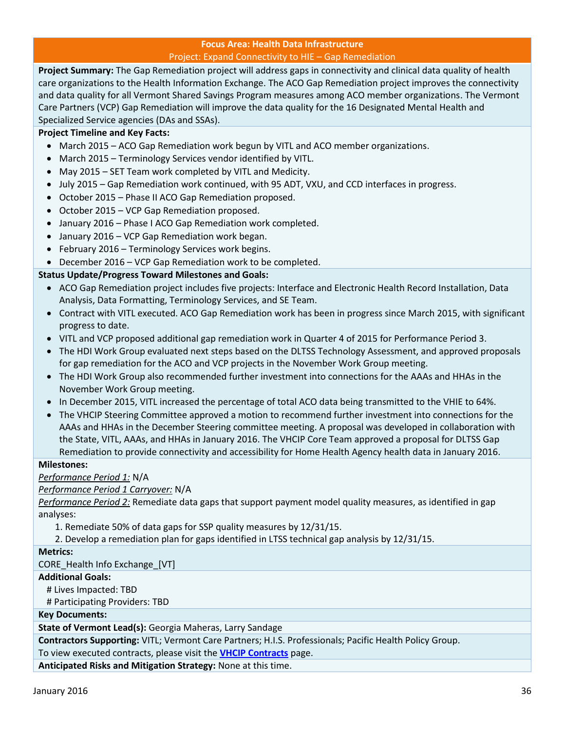#### **Focus Area: Health Data Infrastructure** Project: Expand Connectivity to HIE – Gap Remediation

<span id="page-35-0"></span>**Project Summary:** The Gap Remediation project will address gaps in connectivity and clinical data quality of health care organizations to the Health Information Exchange. The ACO Gap Remediation project improves the connectivity and data quality for all Vermont Shared Savings Program measures among ACO member organizations. The Vermont Care Partners (VCP) Gap Remediation will improve the data quality for the 16 Designated Mental Health and Specialized Service agencies (DAs and SSAs).

#### **Project Timeline and Key Facts:**

- March 2015 ACO Gap Remediation work begun by VITL and ACO member organizations.
- March 2015 Terminology Services vendor identified by VITL.
- May 2015 SET Team work completed by VITL and Medicity.
- July 2015 Gap Remediation work continued, with 95 ADT, VXU, and CCD interfaces in progress.
- October 2015 Phase II ACO Gap Remediation proposed.
- October 2015 VCP Gap Remediation proposed.
- January 2016 Phase I ACO Gap Remediation work completed.
- January 2016 VCP Gap Remediation work began.
- February 2016 Terminology Services work begins.
- December 2016 VCP Gap Remediation work to be completed.

#### **Status Update/Progress Toward Milestones and Goals:**

- ACO Gap Remediation project includes five projects: Interface and Electronic Health Record Installation, Data Analysis, Data Formatting, Terminology Services, and SE Team.
- Contract with VITL executed. ACO Gap Remediation work has been in progress since March 2015, with significant progress to date.
- VITL and VCP proposed additional gap remediation work in Quarter 4 of 2015 for Performance Period 3.
- The HDI Work Group evaluated next steps based on the DLTSS Technology Assessment, and approved proposals for gap remediation for the ACO and VCP projects in the November Work Group meeting.
- The HDI Work Group also recommended further investment into connections for the AAAs and HHAs in the November Work Group meeting.
- In December 2015, VITL increased the percentage of total ACO data being transmitted to the VHIE to 64%.
- The VHCIP Steering Committee approved a motion to recommend further investment into connections for the AAAs and HHAs in the December Steering committee meeting. A proposal was developed in collaboration with the State, VITL, AAAs, and HHAs in January 2016. The VHCIP Core Team approved a proposal for DLTSS Gap Remediation to provide connectivity and accessibility for Home Health Agency health data in January 2016.

#### **Milestones:**

*Performance Period 1:* N/A

#### *Performance Period 1 Carryover:* N/A

*Performance Period 2:* Remediate data gaps that support payment model quality measures, as identified in gap analyses:

1. Remediate 50% of data gaps for SSP quality measures by 12/31/15.

2. Develop a remediation plan for gaps identified in LTSS technical gap analysis by 12/31/15.

#### **Metrics:**

CORE\_Health Info Exchange\_[VT]

**Additional Goals:**

# Lives Impacted: TBD

# Participating Providers: TBD

#### **Key Documents:**

**State of Vermont Lead(s):** Georgia Maheras, Larry Sandage

**Contractors Supporting:** VITL; Vermont Care Partners; H.I.S. Professionals; Pacific Health Policy Group.

To view executed contracts, please visit the **[VHCIP Contracts](http://healthcareinnovation.vermont.gov/node/731)** page.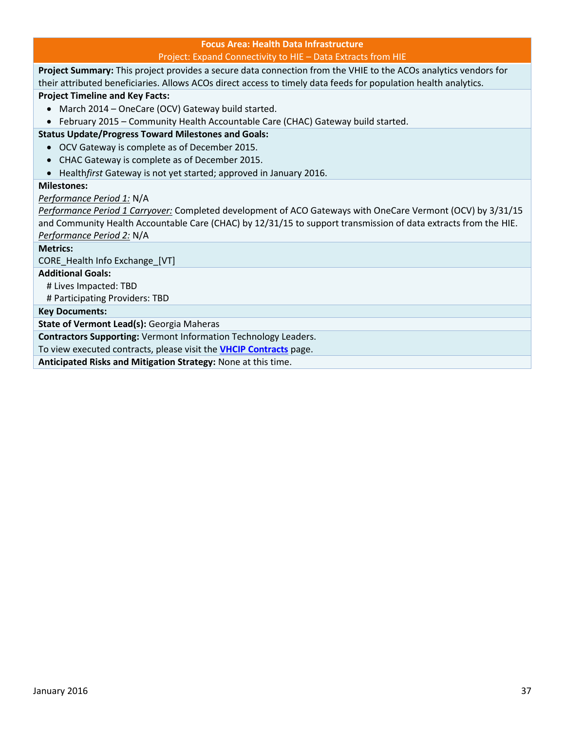#### **Focus Area: Health Data Infrastructure** Project: Expand Connectivity to HIE – Data Extracts from HIE

<span id="page-36-0"></span>**Project Summary:** This project provides a secure data connection from the VHIE to the ACOs analytics vendors for their attributed beneficiaries. Allows ACOs direct access to timely data feeds for population health analytics.

**Project Timeline and Key Facts:** 

- March 2014 OneCare (OCV) Gateway build started.
- February 2015 Community Health Accountable Care (CHAC) Gateway build started.

#### **Status Update/Progress Toward Milestones and Goals:**

- OCV Gateway is complete as of December 2015.
- CHAC Gateway is complete as of December 2015.
- Health*first* Gateway is not yet started; approved in January 2016.

#### **Milestones:**

#### *Performance Period 1:* N/A

*Performance Period 1 Carryover:* Completed development of ACO Gateways with OneCare Vermont (OCV) by 3/31/15 and Community Health Accountable Care (CHAC) by 12/31/15 to support transmission of data extracts from the HIE. *Performance Period 2:* N/A

#### **Metrics:**

CORE\_Health Info Exchange\_[VT]

**Additional Goals:**

# Lives Impacted: TBD

# Participating Providers: TBD

**Key Documents:**

**State of Vermont Lead(s):** Georgia Maheras

**Contractors Supporting:** Vermont Information Technology Leaders.

To view executed contracts, please visit the **[VHCIP Contracts](http://healthcareinnovation.vermont.gov/node/731)** page.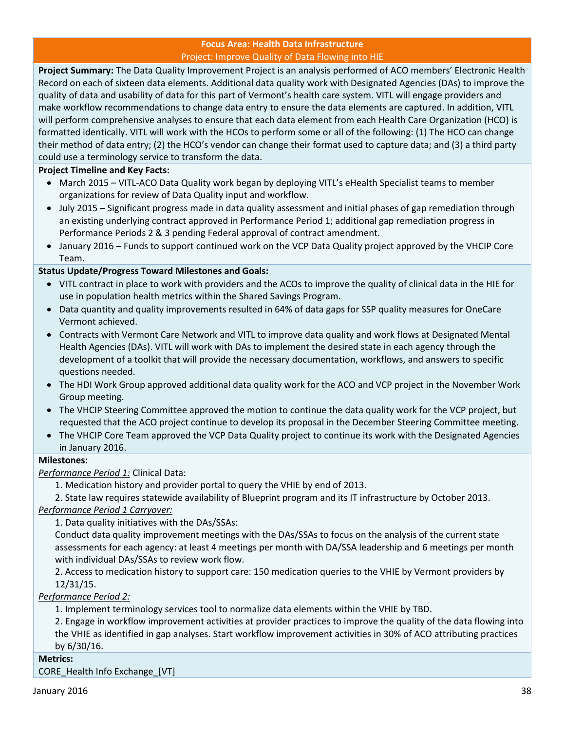#### **Focus Area: Health Data Infrastructure** Project: Improve Quality of Data Flowing into HIE

<span id="page-37-0"></span>**Project Summary:** The Data Quality Improvement Project is an analysis performed of ACO members' Electronic Health Record on each of sixteen data elements. Additional data quality work with Designated Agencies (DAs) to improve the quality of data and usability of data for this part of Vermont's health care system. VITL will engage providers and make workflow recommendations to change data entry to ensure the data elements are captured. In addition, VITL will perform comprehensive analyses to ensure that each data element from each Health Care Organization (HCO) is formatted identically. VITL will work with the HCOs to perform some or all of the following: (1) The HCO can change their method of data entry; (2) the HCO's vendor can change their format used to capture data; and (3) a third party could use a terminology service to transform the data.

#### **Project Timeline and Key Facts:**

- March 2015 *–* VITL-ACO Data Quality work began by deploying VITL's eHealth Specialist teams to member organizations for review of Data Quality input and workflow.
- July 2015 Significant progress made in data quality assessment and initial phases of gap remediation through an existing underlying contract approved in Performance Period 1; additional gap remediation progress in Performance Periods 2 & 3 pending Federal approval of contract amendment.
- January 2016 Funds to support continued work on the VCP Data Quality project approved by the VHCIP Core Team.

#### **Status Update/Progress Toward Milestones and Goals:**

- VITL contract in place to work with providers and the ACOs to improve the quality of clinical data in the HIE for use in population health metrics within the Shared Savings Program.
- Data quantity and quality improvements resulted in 64% of data gaps for SSP quality measures for OneCare Vermont achieved.
- Contracts with Vermont Care Network and VITL to improve data quality and work flows at Designated Mental Health Agencies (DAs). VITL will work with DAs to implement the desired state in each agency through the development of a toolkit that will provide the necessary documentation, workflows, and answers to specific questions needed.
- The HDI Work Group approved additional data quality work for the ACO and VCP project in the November Work Group meeting.
- The VHCIP Steering Committee approved the motion to continue the data quality work for the VCP project, but requested that the ACO project continue to develop its proposal in the December Steering Committee meeting.
- The VHCIP Core Team approved the VCP Data Quality project to continue its work with the Designated Agencies in January 2016.

#### **Milestones:**

#### *Performance Period 1:* Clinical Data:

1. Medication history and provider portal to query the VHIE by end of 2013.

2. State law requires statewide availability of Blueprint program and its IT infrastructure by October 2013.

#### *Performance Period 1 Carryover:*

1. Data quality initiatives with the DAs/SSAs:

Conduct data quality improvement meetings with the DAs/SSAs to focus on the analysis of the current state assessments for each agency: at least 4 meetings per month with DA/SSA leadership and 6 meetings per month with individual DAs/SSAs to review work flow.

2. Access to medication history to support care: 150 medication queries to the VHIE by Vermont providers by 12/31/15.

#### *Performance Period 2:*

1. Implement terminology services tool to normalize data elements within the VHIE by TBD.

2. Engage in workflow improvement activities at provider practices to improve the quality of the data flowing into the VHIE as identified in gap analyses. Start workflow improvement activities in 30% of ACO attributing practices by 6/30/16.

#### **Metrics:**

CORE\_Health Info Exchange\_[VT]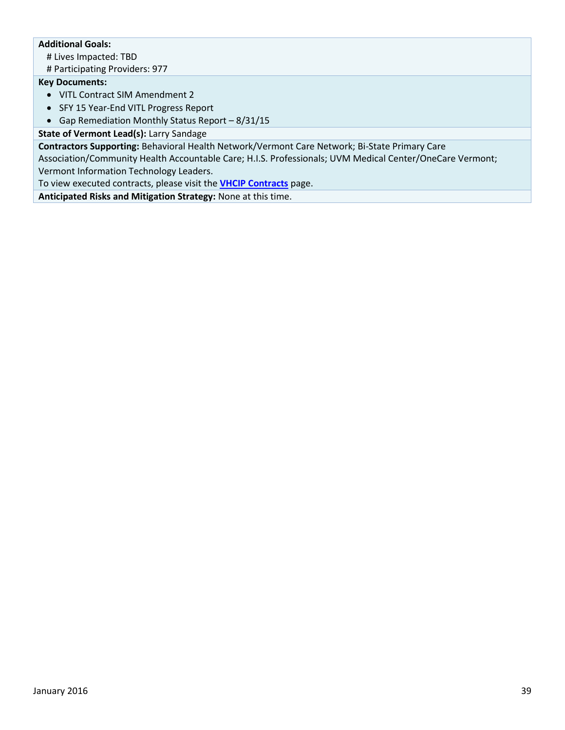#### **Additional Goals:**

# Lives Impacted: TBD

# Participating Providers: 977

#### **Key Documents:**

- VITL Contract SIM Amendment 2
- SFY 15 Year-End VITL Progress Report
- Gap Remediation Monthly Status Report 8/31/15

#### **State of Vermont Lead(s):** Larry Sandage

**Contractors Supporting:** Behavioral Health Network/Vermont Care Network; Bi-State Primary Care Association/Community Health Accountable Care; H.I.S. Professionals; UVM Medical Center/OneCare Vermont; Vermont Information Technology Leaders.

To view executed contracts, please visit the **[VHCIP Contracts](http://healthcareinnovation.vermont.gov/node/731)** page.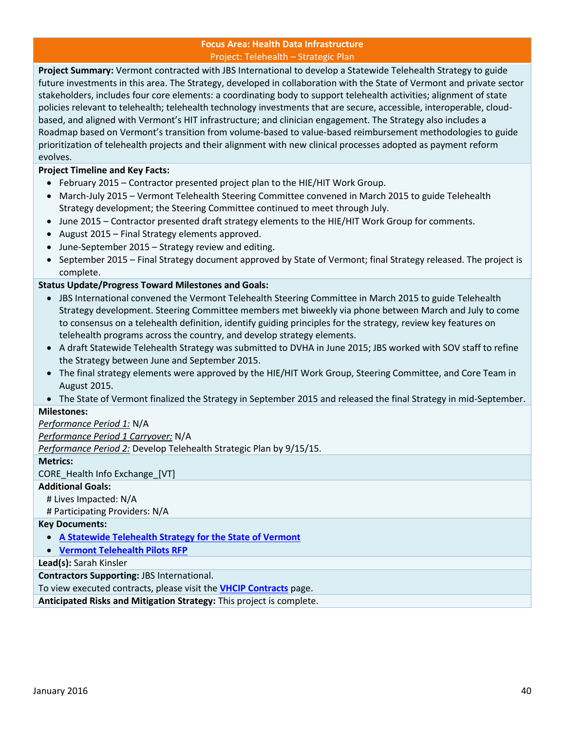#### **Focus Area: Health Data Infrastructure** Project: Telehealth – Strategic Plan

<span id="page-39-0"></span>**Project Summary:** Vermont contracted with JBS International to develop a Statewide Telehealth Strategy to guide future investments in this area. The Strategy, developed in collaboration with the State of Vermont and private sector stakeholders, includes four core elements: a coordinating body to support telehealth activities; alignment of state policies relevant to telehealth; telehealth technology investments that are secure, accessible, interoperable, cloudbased, and aligned with Vermont's HIT infrastructure; and clinician engagement. The Strategy also includes a Roadmap based on Vermont's transition from volume-based to value-based reimbursement methodologies to guide prioritization of telehealth projects and their alignment with new clinical processes adopted as payment reform evolves.

#### **Project Timeline and Key Facts:**

- February 2015 Contractor presented project plan to the HIE/HIT Work Group.
- March-July 2015 Vermont Telehealth Steering Committee convened in March 2015 to guide Telehealth Strategy development; the Steering Committee continued to meet through July.
- June 2015 Contractor presented draft strategy elements to the HIE/HIT Work Group for comments.
- August 2015 Final Strategy elements approved.
- June-September 2015 Strategy review and editing.
- September 2015 Final Strategy document approved by State of Vermont; final Strategy released. The project is complete.

#### **Status Update/Progress Toward Milestones and Goals:**

- JBS International convened the Vermont Telehealth Steering Committee in March 2015 to guide Telehealth Strategy development. Steering Committee members met biweekly via phone between March and July to come to consensus on a telehealth definition, identify guiding principles for the strategy, review key features on telehealth programs across the country, and develop strategy elements.
- A draft Statewide Telehealth Strategy was submitted to DVHA in June 2015; JBS worked with SOV staff to refine the Strategy between June and September 2015.
- The final strategy elements were approved by the HIE/HIT Work Group, Steering Committee, and Core Team in August 2015.
- The State of Vermont finalized the Strategy in September 2015 and released the final Strategy in mid-September.

#### **Milestones:**

#### *Performance Period 1:* N/A

*Performance Period 1 Carryover:* N/A

*Performance Period 2:* Develop Telehealth Strategic Plan by 9/15/15.

#### **Metrics:**

CORE\_Health Info Exchange\_[VT]

#### **Additional Goals:**

# Lives Impacted: N/A

# Participating Providers: N/A

#### **Key Documents:**

- **[A Statewide Telehealth Strategy for the State of Vermont](http://healthcareinnovation.vermont.gov/sites/hcinnovation/files/HIE/Telehealth_Strategy_Report_Final_9-16-15.pdf)**
- **[Vermont Telehealth Pilots RFP](http://www.vermontbusinessregistry.com/BidPreview.aspx?BidID=12928)**

#### **Lead(s):** Sarah Kinsler

**Contractors Supporting:** JBS International.

To view executed contracts, please visit the **[VHCIP Contracts](http://healthcareinnovation.vermont.gov/node/731)** page.

**Anticipated Risks and Mitigation Strategy:** This project is complete.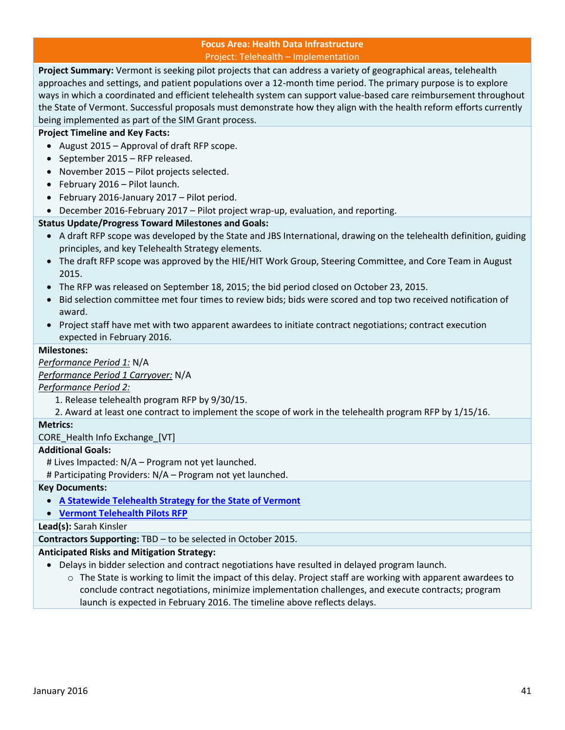#### **Focus Area: Health Data Infrastructure** Project: Telehealth – Implementation

<span id="page-40-0"></span>**Project Summary:** Vermont is seeking pilot projects that can address a variety of geographical areas, telehealth approaches and settings, and patient populations over a 12-month time period. The primary purpose is to explore ways in which a coordinated and efficient telehealth system can support value-based care reimbursement throughout the State of Vermont. Successful proposals must demonstrate how they align with the health reform efforts currently being implemented as part of the SIM Grant process.

#### **Project Timeline and Key Facts:**

- August 2015 Approval of draft RFP scope.
- $\bullet$  September 2015 RFP released.
- November 2015 Pilot projects selected.
- February 2016 Pilot launch.
- February 2016-January 2017 Pilot period.
- December 2016-February 2017 Pilot project wrap-up, evaluation, and reporting.

#### **Status Update/Progress Toward Milestones and Goals:**

- A draft RFP scope was developed by the State and JBS International, drawing on the telehealth definition, guiding principles, and key Telehealth Strategy elements.
- The draft RFP scope was approved by the HIE/HIT Work Group, Steering Committee, and Core Team in August 2015.
- The RFP was released on September 18, 2015; the bid period closed on October 23, 2015.
- Bid selection committee met four times to review bids; bids were scored and top two received notification of award.
- Project staff have met with two apparent awardees to initiate contract negotiations; contract execution expected in February 2016.

#### **Milestones:**

*Performance Period 1:* N/A

*Performance Period 1 Carryover:* N/A

#### *Performance Period 2:*

1. Release telehealth program RFP by 9/30/15.

2. Award at least one contract to implement the scope of work in the telehealth program RFP by 1/15/16.

#### **Metrics:**

CORE Health Info Exchange [VT]

#### **Additional Goals:**

# Lives Impacted: N/A – Program not yet launched.

# Participating Providers: N/A – Program not yet launched.

**Key Documents:**

**[A Statewide Telehealth Strategy for the State of Vermont](http://healthcareinnovation.vermont.gov/sites/hcinnovation/files/HIE/Telehealth_Strategy_Report_Final_9-16-15.pdf)**

**[Vermont Telehealth Pilots RFP](http://www.vermontbusinessregistry.com/BidPreview.aspx?BidID=12928)**

**Lead(s):** Sarah Kinsler

**Contractors Supporting:** TBD – to be selected in October 2015.

#### **Anticipated Risks and Mitigation Strategy:**

- Delays in bidder selection and contract negotiations have resulted in delayed program launch.
	- o The State is working to limit the impact of this delay. Project staff are working with apparent awardees to conclude contract negotiations, minimize implementation challenges, and execute contracts; program launch is expected in February 2016. The timeline above reflects delays.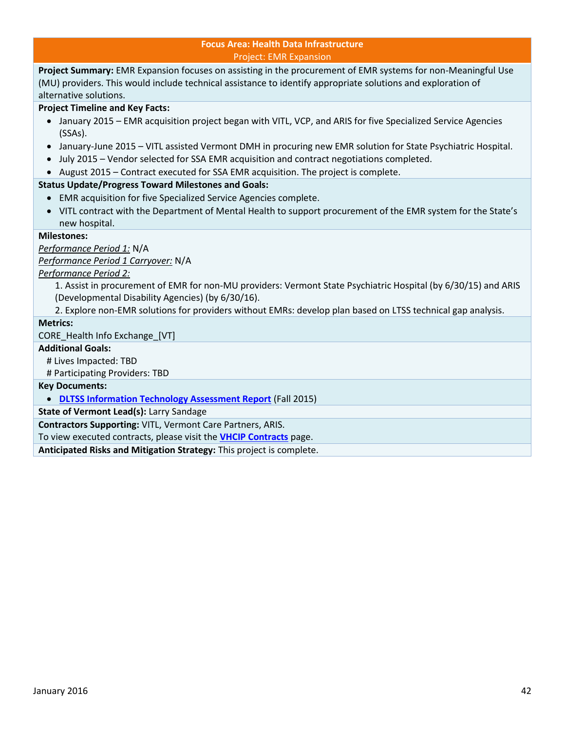#### **Focus Area: Health Data Infrastructure** Project: EMR Expansion

<span id="page-41-0"></span>**Project Summary:** EMR Expansion focuses on assisting in the procurement of EMR systems for non-Meaningful Use (MU) providers. This would include technical assistance to identify appropriate solutions and exploration of alternative solutions.

#### **Project Timeline and Key Facts:**

- January 2015 EMR acquisition project began with VITL, VCP, and ARIS for five Specialized Service Agencies (SSAs).
- January-June 2015 VITL assisted Vermont DMH in procuring new EMR solution for State Psychiatric Hospital.
- July 2015 Vendor selected for SSA EMR acquisition and contract negotiations completed.
- August 2015 Contract executed for SSA EMR acquisition. The project is complete.

#### **Status Update/Progress Toward Milestones and Goals:**

- EMR acquisition for five Specialized Service Agencies complete.
- VITL contract with the Department of Mental Health to support procurement of the EMR system for the State's new hospital.

#### **Milestones:**

*Performance Period 1:* N/A

*Performance Period 1 Carryover:* N/A

#### *Performance Period 2:*

1. Assist in procurement of EMR for non-MU providers: Vermont State Psychiatric Hospital (by 6/30/15) and ARIS (Developmental Disability Agencies) (by 6/30/16).

2. Explore non-EMR solutions for providers without EMRs: develop plan based on LTSS technical gap analysis.

#### **Metrics:**

CORE Health Info Exchange [VT]

#### **Additional Goals:**

# Lives Impacted: TBD

# Participating Providers: TBD

#### **Key Documents:**

**[DLTSS Information Technology Assessment Report](http://healthcareinnovation.vermont.gov/sites/hcinnovation/files/Resources/VHCIP%20LTSS%20Assessment%20Report%20FINAL.v2.pdf)** (Fall 2015)

**State of Vermont Lead(s):** Larry Sandage

**Contractors Supporting:** VITL, Vermont Care Partners, ARIS.

To view executed contracts, please visit the **[VHCIP Contracts](http://healthcareinnovation.vermont.gov/node/731)** page.

**Anticipated Risks and Mitigation Strategy:** This project is complete.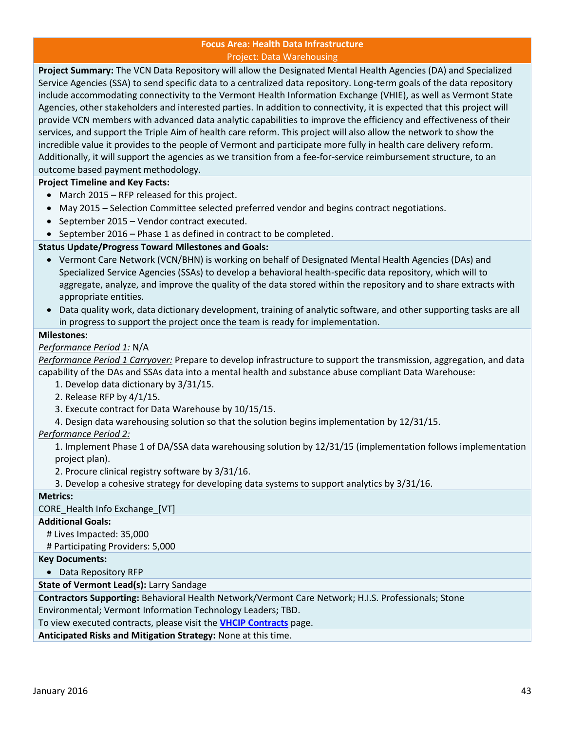#### **Focus Area: Health Data Infrastructure** Project: Data Warehousing

<span id="page-42-0"></span>**Project Summary:** The VCN Data Repository will allow the Designated Mental Health Agencies (DA) and Specialized Service Agencies (SSA) to send specific data to a centralized data repository. Long-term goals of the data repository include accommodating connectivity to the Vermont Health Information Exchange (VHIE), as well as Vermont State Agencies, other stakeholders and interested parties. In addition to connectivity, it is expected that this project will provide VCN members with advanced data analytic capabilities to improve the efficiency and effectiveness of their services, and support the Triple Aim of health care reform. This project will also allow the network to show the incredible value it provides to the people of Vermont and participate more fully in health care delivery reform. Additionally, it will support the agencies as we transition from a fee-for-service reimbursement structure, to an outcome based payment methodology.

**Project Timeline and Key Facts:** 

- March 2015 RFP released for this project.
- May 2015 Selection Committee selected preferred vendor and begins contract negotiations.
- September 2015 Vendor contract executed.
- September 2016 Phase 1 as defined in contract to be completed.

#### **Status Update/Progress Toward Milestones and Goals:**

- Vermont Care Network (VCN/BHN) is working on behalf of Designated Mental Health Agencies (DAs) and Specialized Service Agencies (SSAs) to develop a behavioral health-specific data repository, which will to aggregate, analyze, and improve the quality of the data stored within the repository and to share extracts with appropriate entities.
- Data quality work, data dictionary development, training of analytic software, and other supporting tasks are all in progress to support the project once the team is ready for implementation.

#### **Milestones:**

#### *Performance Period 1:* N/A

*Performance Period 1 Carryover:* Prepare to develop infrastructure to support the transmission, aggregation, and data capability of the DAs and SSAs data into a mental health and substance abuse compliant Data Warehouse:

1. Develop data dictionary by 3/31/15.

- 2. Release RFP by 4/1/15.
- 3. Execute contract for Data Warehouse by 10/15/15.
- 4. Design data warehousing solution so that the solution begins implementation by 12/31/15.

#### *Performance Period 2:*

1. Implement Phase 1 of DA/SSA data warehousing solution by 12/31/15 (implementation follows implementation project plan).

2. Procure clinical registry software by 3/31/16.

3. Develop a cohesive strategy for developing data systems to support analytics by 3/31/16.

#### **Metrics:**

CORE Health Info Exchange [VT]

#### **Additional Goals:**

# Lives Impacted: 35,000

# Participating Providers: 5,000

#### **Key Documents:**

Data Repository RFP

**State of Vermont Lead(s):** Larry Sandage

**Contractors Supporting:** Behavioral Health Network/Vermont Care Network; H.I.S. Professionals; Stone Environmental; Vermont Information Technology Leaders; TBD.

To view executed contracts, please visit the **[VHCIP Contracts](http://healthcareinnovation.vermont.gov/node/731)** page.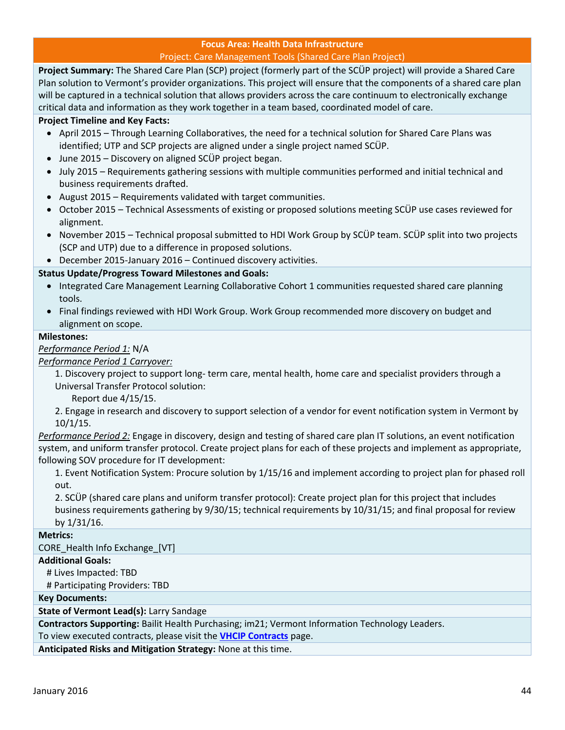### **Focus Area: Health Data Infrastructure**

#### Project: Care Management Tools (Shared Care Plan Project)

<span id="page-43-0"></span>**Project Summary:** The Shared Care Plan (SCP) project (formerly part of the SCÜP project) will provide a Shared Care Plan solution to Vermont's provider organizations. This project will ensure that the components of a shared care plan will be captured in a technical solution that allows providers across the care continuum to electronically exchange critical data and information as they work together in a team based, coordinated model of care.

#### **Project Timeline and Key Facts:**

- April 2015 Through Learning Collaboratives, the need for a technical solution for Shared Care Plans was identified; UTP and SCP projects are aligned under a single project named SCÜP.
- June 2015 Discovery on aligned SCÜP project began.
- July 2015 Requirements gathering sessions with multiple communities performed and initial technical and business requirements drafted.
- August 2015 Requirements validated with target communities.
- October 2015 Technical Assessments of existing or proposed solutions meeting SCÜP use cases reviewed for alignment.
- November 2015 Technical proposal submitted to HDI Work Group by SCÜP team. SCÜP split into two projects (SCP and UTP) due to a difference in proposed solutions.
- December 2015-January 2016 Continued discovery activities.

#### **Status Update/Progress Toward Milestones and Goals:**

- Integrated Care Management Learning Collaborative Cohort 1 communities requested shared care planning tools.
- Final findings reviewed with HDI Work Group. Work Group recommended more discovery on budget and alignment on scope.

#### **Milestones:**

*Performance Period 1:* N/A

*Performance Period 1 Carryover:*

1. Discovery project to support long- term care, mental health, home care and specialist providers through a Universal Transfer Protocol solution:

Report due 4/15/15.

2. Engage in research and discovery to support selection of a vendor for event notification system in Vermont by 10/1/15.

*Performance Period 2:* Engage in discovery, design and testing of shared care plan IT solutions, an event notification system, and uniform transfer protocol. Create project plans for each of these projects and implement as appropriate, following SOV procedure for IT development:

1. Event Notification System: Procure solution by 1/15/16 and implement according to project plan for phased roll out.

2. SCÜP (shared care plans and uniform transfer protocol): Create project plan for this project that includes business requirements gathering by 9/30/15; technical requirements by 10/31/15; and final proposal for review by 1/31/16.

#### **Metrics:**

CORE\_Health Info Exchange\_[VT]

**Additional Goals:**

# Lives Impacted: TBD

# Participating Providers: TBD

**Key Documents:**

**State of Vermont Lead(s):** Larry Sandage

**Contractors Supporting:** Bailit Health Purchasing; im21; Vermont Information Technology Leaders.

To view executed contracts, please visit the **[VHCIP Contracts](http://healthcareinnovation.vermont.gov/node/731)** page.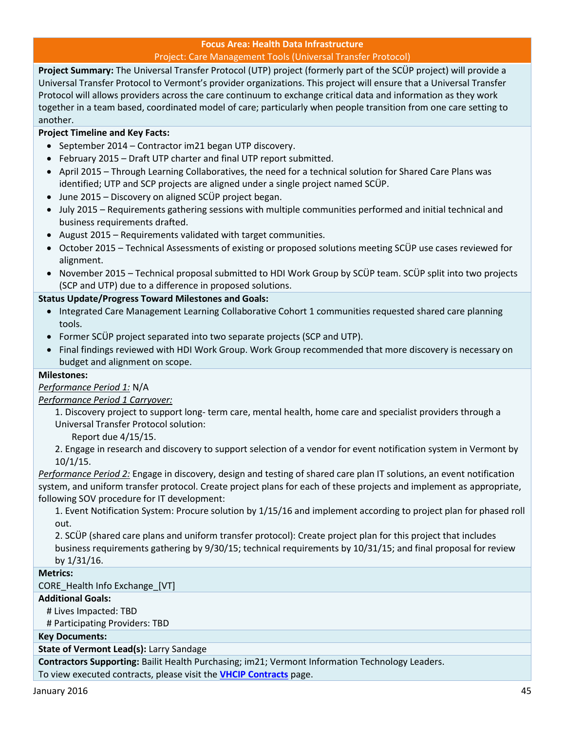#### **Focus Area: Health Data Infrastructure** Project: Care Management Tools (Universal Transfer Protocol)

<span id="page-44-0"></span>**Project Summary:** The Universal Transfer Protocol (UTP) project (formerly part of the SCÜP project) will provide a Universal Transfer Protocol to Vermont's provider organizations. This project will ensure that a Universal Transfer Protocol will allows providers across the care continuum to exchange critical data and information as they work together in a team based, coordinated model of care; particularly when people transition from one care setting to another.

#### **Project Timeline and Key Facts:**

- September 2014 Contractor im21 began UTP discovery.
- February 2015 Draft UTP charter and final UTP report submitted.
- April 2015 Through Learning Collaboratives, the need for a technical solution for Shared Care Plans was identified; UTP and SCP projects are aligned under a single project named SCÜP.
- June 2015 Discovery on aligned SCÜP project began.
- July 2015 Requirements gathering sessions with multiple communities performed and initial technical and business requirements drafted.
- August 2015 Requirements validated with target communities.
- October 2015 Technical Assessments of existing or proposed solutions meeting SCÜP use cases reviewed for alignment.
- November 2015 Technical proposal submitted to HDI Work Group by SCÜP team. SCÜP split into two projects (SCP and UTP) due to a difference in proposed solutions.

#### **Status Update/Progress Toward Milestones and Goals:**

- Integrated Care Management Learning Collaborative Cohort 1 communities requested shared care planning tools.
- Former SCÜP project separated into two separate projects (SCP and UTP).
- Final findings reviewed with HDI Work Group. Work Group recommended that more discovery is necessary on budget and alignment on scope.

#### **Milestones:**

#### *Performance Period 1:* N/A

#### *Performance Period 1 Carryover:*

1. Discovery project to support long- term care, mental health, home care and specialist providers through a Universal Transfer Protocol solution:

Report due 4/15/15.

2. Engage in research and discovery to support selection of a vendor for event notification system in Vermont by 10/1/15.

*Performance Period 2:* Engage in discovery, design and testing of shared care plan IT solutions, an event notification system, and uniform transfer protocol. Create project plans for each of these projects and implement as appropriate, following SOV procedure for IT development:

1. Event Notification System: Procure solution by 1/15/16 and implement according to project plan for phased roll out.

2. SCÜP (shared care plans and uniform transfer protocol): Create project plan for this project that includes business requirements gathering by 9/30/15; technical requirements by 10/31/15; and final proposal for review by 1/31/16.

#### **Metrics:**

CORE\_Health Info Exchange\_[VT]

#### **Additional Goals:**

# Lives Impacted: TBD

# Participating Providers: TBD

#### **Key Documents:**

#### **State of Vermont Lead(s):** Larry Sandage

**Contractors Supporting:** Bailit Health Purchasing; im21; Vermont Information Technology Leaders. To view executed contracts, please visit the **[VHCIP Contracts](http://healthcareinnovation.vermont.gov/node/731)** page.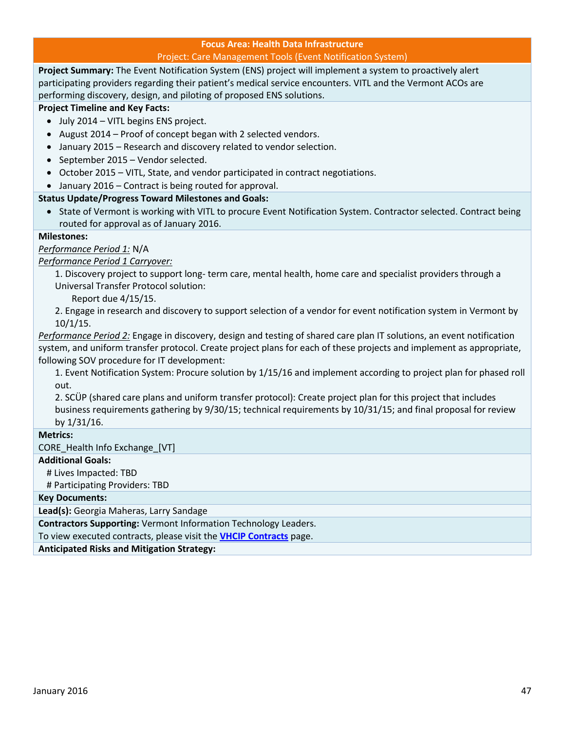### **Focus Area: Health Data Infrastructure**

#### Project: Care Management Tools (Event Notification System)

<span id="page-46-0"></span>**Project Summary:** The Event Notification System (ENS) project will implement a system to proactively alert participating providers regarding their patient's medical service encounters. VITL and the Vermont ACOs are performing discovery, design, and piloting of proposed ENS solutions.

#### **Project Timeline and Key Facts:**

- July 2014 VITL begins ENS project.
- August 2014 Proof of concept began with 2 selected vendors.
- January 2015 Research and discovery related to vendor selection.
- September 2015 Vendor selected.
- October 2015 VITL, State, and vendor participated in contract negotiations.
- January 2016 Contract is being routed for approval.

#### **Status Update/Progress Toward Milestones and Goals:**

 State of Vermont is working with VITL to procure Event Notification System. Contractor selected. Contract being routed for approval as of January 2016.

#### **Milestones:**

*Performance Period 1:* N/A

*Performance Period 1 Carryover:*

1. Discovery project to support long- term care, mental health, home care and specialist providers through a Universal Transfer Protocol solution:

Report due 4/15/15.

2. Engage in research and discovery to support selection of a vendor for event notification system in Vermont by 10/1/15.

*Performance Period 2:* Engage in discovery, design and testing of shared care plan IT solutions, an event notification system, and uniform transfer protocol. Create project plans for each of these projects and implement as appropriate, following SOV procedure for IT development:

1. Event Notification System: Procure solution by 1/15/16 and implement according to project plan for phased roll out.

2. SCÜP (shared care plans and uniform transfer protocol): Create project plan for this project that includes business requirements gathering by 9/30/15; technical requirements by 10/31/15; and final proposal for review by 1/31/16.

#### **Metrics:**

CORE Health Info Exchange [VT]

#### **Additional Goals:**

# Lives Impacted: TBD

# Participating Providers: TBD

#### **Key Documents:**

**Lead(s):** Georgia Maheras, Larry Sandage

**Contractors Supporting:** Vermont Information Technology Leaders.

To view executed contracts, please visit the **[VHCIP Contracts](http://healthcareinnovation.vermont.gov/node/731)** page.

**Anticipated Risks and Mitigation Strategy:**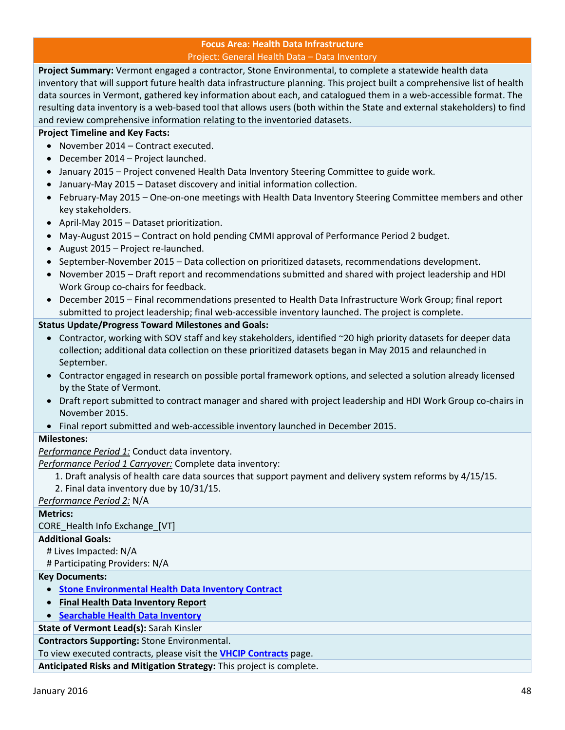#### **Focus Area: Health Data Infrastructure** Project: General Health Data – Data Inventory

<span id="page-47-0"></span>**Project Summary:** Vermont engaged a contractor, Stone Environmental, to complete a statewide health data inventory that will support future health data infrastructure planning. This project built a comprehensive list of health data sources in Vermont, gathered key information about each, and catalogued them in a web-accessible format. The resulting data inventory is a web-based tool that allows users (both within the State and external stakeholders) to find and review comprehensive information relating to the inventoried datasets.

#### **Project Timeline and Key Facts:**

- November 2014 Contract executed.
- December 2014 Project launched.
- January 2015 Project convened Health Data Inventory Steering Committee to guide work.
- January-May 2015 Dataset discovery and initial information collection.
- February-May 2015 One-on-one meetings with Health Data Inventory Steering Committee members and other key stakeholders.
- April-May 2015 Dataset prioritization.
- May-August 2015 Contract on hold pending CMMI approval of Performance Period 2 budget.
- August 2015 Project re-launched.
- September-November 2015 Data collection on prioritized datasets, recommendations development.
- November 2015 Draft report and recommendations submitted and shared with project leadership and HDI Work Group co-chairs for feedback.
- December 2015 Final recommendations presented to Health Data Infrastructure Work Group; final report submitted to project leadership; final web-accessible inventory launched. The project is complete.

#### **Status Update/Progress Toward Milestones and Goals:**

- Contractor, working with SOV staff and key stakeholders, identified ~20 high priority datasets for deeper data collection; additional data collection on these prioritized datasets began in May 2015 and relaunched in September.
- Contractor engaged in research on possible portal framework options, and selected a solution already licensed by the State of Vermont.
- Draft report submitted to contract manager and shared with project leadership and HDI Work Group co-chairs in November 2015.
- Final report submitted and web-accessible inventory launched in December 2015.

#### **Milestones:**

*Performance Period 1:* Conduct data inventory.

*Performance Period 1 Carryover:* Complete data inventory:

- 1. Draft analysis of health care data sources that support payment and delivery system reforms by 4/15/15.
- 2. Final data inventory due by 10/31/15.

#### *Performance Period 2:* N/A

#### **Metrics:**

CORE\_Health Info Exchange\_[VT]

#### **Additional Goals:**

# Lives Impacted: N/A

#### # Participating Providers: N/A

#### **Key Documents:**

- **[Stone Environmental Health Data Inventory Contract](http://healthcareinnovation.vermont.gov/sites/hcinnovation/files/Contracts/28079-Stone_Environmental.pdf)**
- **Final Health Data Inventory Report**
- **[Searchable Health Data Inventory](https://stone.knackhq.com/health-inventory#datasourcelisting/)**

#### **State of Vermont Lead(s):** Sarah Kinsler

**Contractors Supporting:** Stone Environmental.

#### To view executed contracts, please visit the **[VHCIP Contracts](http://healthcareinnovation.vermont.gov/node/731)** page.

**Anticipated Risks and Mitigation Strategy:** This project is complete.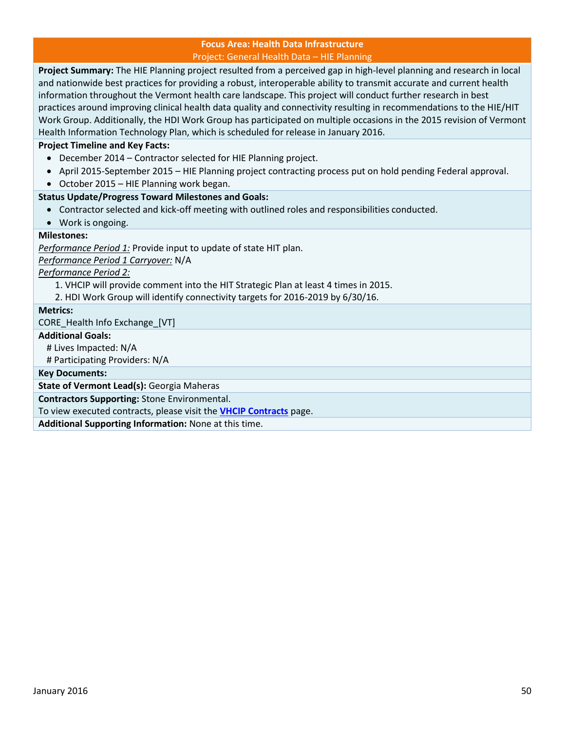#### **Focus Area: Health Data Infrastructure** Project: General Health Data – HIE Planning

<span id="page-49-0"></span>**Project Summary:** The HIE Planning project resulted from a perceived gap in high-level planning and research in local and nationwide best practices for providing a robust, interoperable ability to transmit accurate and current health information throughout the Vermont health care landscape. This project will conduct further research in best practices around improving clinical health data quality and connectivity resulting in recommendations to the HIE/HIT Work Group. Additionally, the HDI Work Group has participated on multiple occasions in the 2015 revision of Vermont Health Information Technology Plan, which is scheduled for release in January 2016.

#### **Project Timeline and Key Facts:**

- December 2014 Contractor selected for HIE Planning project.
- April 2015-September 2015 HIE Planning project contracting process put on hold pending Federal approval.
- October 2015 HIE Planning work began.

#### **Status Update/Progress Toward Milestones and Goals:**

- Contractor selected and kick-off meeting with outlined roles and responsibilities conducted.
- Work is ongoing.

#### **Milestones:**

*Performance Period 1:* Provide input to update of state HIT plan.

*Performance Period 1 Carryover:* N/A

*Performance Period 2:*

- 1. VHCIP will provide comment into the HIT Strategic Plan at least 4 times in 2015.
- 2. HDI Work Group will identify connectivity targets for 2016-2019 by 6/30/16.

#### **Metrics:**

CORE Health Info Exchange [VT]

#### **Additional Goals:**

# Lives Impacted: N/A

# Participating Providers: N/A

**Key Documents:**

**State of Vermont Lead(s):** Georgia Maheras

**Contractors Supporting:** Stone Environmental.

To view executed contracts, please visit the **[VHCIP Contracts](http://healthcareinnovation.vermont.gov/node/731)** page.

**Additional Supporting Information:** None at this time.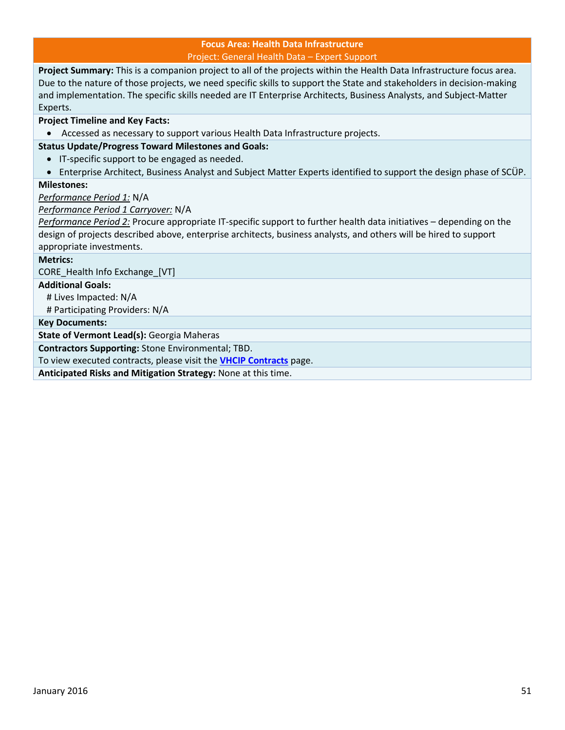#### **Focus Area: Health Data Infrastructure** Project: General Health Data – Expert Support

<span id="page-50-0"></span>**Project Summary:** This is a companion project to all of the projects within the Health Data Infrastructure focus area. Due to the nature of those projects, we need specific skills to support the State and stakeholders in decision-making and implementation. The specific skills needed are IT Enterprise Architects, Business Analysts, and Subject-Matter Experts.

#### **Project Timeline and Key Facts:**

Accessed as necessary to support various Health Data Infrastructure projects.

#### **Status Update/Progress Toward Milestones and Goals:**

- **•** IT-specific support to be engaged as needed.
- Enterprise Architect, Business Analyst and Subject Matter Experts identified to support the design phase of SCÜP.

#### **Milestones:**

*Performance Period 1:* N/A

*Performance Period 1 Carryover:* N/A

*Performance Period 2:* Procure appropriate IT-specific support to further health data initiatives – depending on the design of projects described above, enterprise architects, business analysts, and others will be hired to support appropriate investments.

#### **Metrics:**

CORE\_Health Info Exchange\_[VT]

#### **Additional Goals:**

# Lives Impacted: N/A

# Participating Providers: N/A

**Key Documents:**

**State of Vermont Lead(s):** Georgia Maheras

**Contractors Supporting:** Stone Environmental; TBD.

To view executed contracts, please visit the **[VHCIP Contracts](http://healthcareinnovation.vermont.gov/node/731)** page.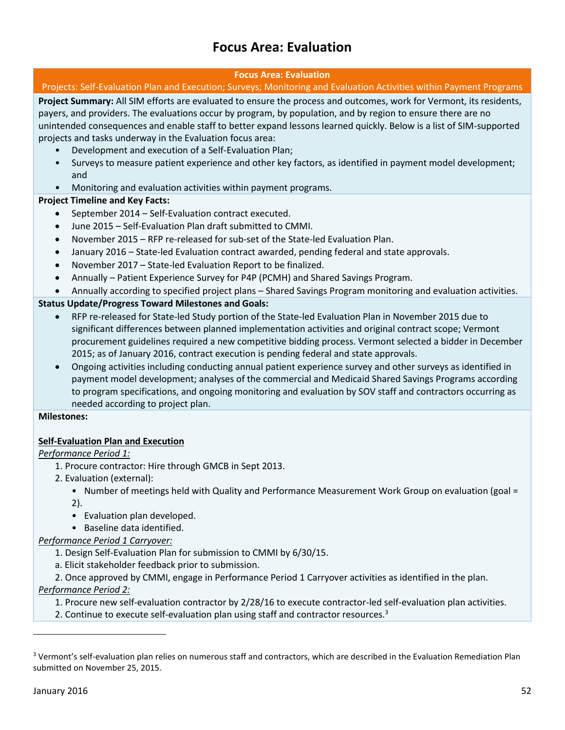### **Focus Area: Evaluation**

#### **Focus Area: Evaluation**

#### <span id="page-51-1"></span><span id="page-51-0"></span>Projects: Self-Evaluation Plan and Execution; Surveys; Monitoring and Evaluation Activities within Payment Programs

**Project Summary:** All SIM efforts are evaluated to ensure the process and outcomes, work for Vermont, its residents, payers, and providers. The evaluations occur by program, by population, and by region to ensure there are no unintended consequences and enable staff to better expand lessons learned quickly. Below is a list of SIM-supported projects and tasks underway in the Evaluation focus area:

- Development and execution of a Self-Evaluation Plan;
- Surveys to measure patient experience and other key factors, as identified in payment model development; and
- Monitoring and evaluation activities within payment programs.

#### **Project Timeline and Key Facts:**

- September 2014 Self-Evaluation contract executed.
- June 2015 Self-Evaluation Plan draft submitted to CMMI.
- November 2015 RFP re-released for sub-set of the State-led Evaluation Plan.
- January 2016 State-led Evaluation contract awarded, pending federal and state approvals.
- November 2017 State-led Evaluation Report to be finalized.
- Annually Patient Experience Survey for P4P (PCMH) and Shared Savings Program.
- Annually according to specified project plans Shared Savings Program monitoring and evaluation activities.

#### **Status Update/Progress Toward Milestones and Goals:**

- RFP re-released for State-led Study portion of the State-led Evaluation Plan in November 2015 due to significant differences between planned implementation activities and original contract scope; Vermont procurement guidelines required a new competitive bidding process. Vermont selected a bidder in December 2015; as of January 2016, contract execution is pending federal and state approvals.
- Ongoing activities including conducting annual patient experience survey and other surveys as identified in payment model development; analyses of the commercial and Medicaid Shared Savings Programs according to program specifications, and ongoing monitoring and evaluation by SOV staff and contractors occurring as needed according to project plan.

#### **Milestones:**

#### **Self-Evaluation Plan and Execution**

#### *Performance Period 1:*

- 1. Procure contractor: Hire through GMCB in Sept 2013.
- 2. Evaluation (external):
	- Number of meetings held with Quality and Performance Measurement Work Group on evaluation (goal = 2).
	- Evaluation plan developed.
	- Baseline data identified.

#### *Performance Period 1 Carryover:*

- 1. Design Self-Evaluation Plan for submission to CMMI by 6/30/15.
- a. Elicit stakeholder feedback prior to submission.

2. Once approved by CMMI, engage in Performance Period 1 Carryover activities as identified in the plan.

#### *Performance Period 2:*

1. Procure new self-evaluation contractor by 2/28/16 to execute contractor-led self-evaluation plan activities.

2. Continue to execute self-evaluation plan using staff and contractor resources.<sup>3</sup>

l

<sup>&</sup>lt;sup>3</sup> Vermont's self-evaluation plan relies on numerous staff and contractors, which are described in the Evaluation Remediation Plan submitted on November 25, 2015.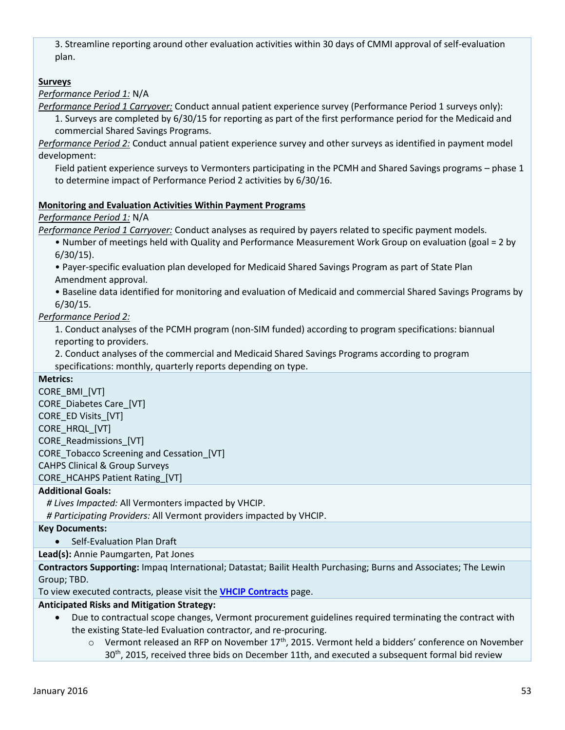3. Streamline reporting around other evaluation activities within 30 days of CMMI approval of self-evaluation plan.

#### **Surveys**

#### *Performance Period 1:* N/A

*Performance Period 1 Carryover:* Conduct annual patient experience survey (Performance Period 1 surveys only): 1. Surveys are completed by 6/30/15 for reporting as part of the first performance period for the Medicaid and commercial Shared Savings Programs.

*Performance Period 2:* Conduct annual patient experience survey and other surveys as identified in payment model development:

Field patient experience surveys to Vermonters participating in the PCMH and Shared Savings programs – phase 1 to determine impact of Performance Period 2 activities by 6/30/16.

#### **Monitoring and Evaluation Activities Within Payment Programs**

#### *Performance Period 1:* N/A

*Performance Period 1 Carryover:* Conduct analyses as required by payers related to specific payment models.

• Number of meetings held with Quality and Performance Measurement Work Group on evaluation (goal = 2 by 6/30/15).

• Payer-specific evaluation plan developed for Medicaid Shared Savings Program as part of State Plan Amendment approval.

• Baseline data identified for monitoring and evaluation of Medicaid and commercial Shared Savings Programs by 6/30/15.

#### *Performance Period 2:*

1. Conduct analyses of the PCMH program (non-SIM funded) according to program specifications: biannual reporting to providers.

2. Conduct analyses of the commercial and Medicaid Shared Savings Programs according to program specifications: monthly, quarterly reports depending on type.

#### **Metrics:**

CORE\_BMI\_[VT] CORE\_Diabetes Care\_[VT] CORE\_ED Visits [VT] CORE\_HRQL\_[VT] CORE\_Readmissions\_[VT] CORE\_Tobacco Screening and Cessation\_[VT] CAHPS Clinical & Group Surveys CORE\_HCAHPS Patient Rating\_[VT]

#### **Additional Goals:**

*# Lives Impacted:* All Vermonters impacted by VHCIP.

*# Participating Providers:* All Vermont providers impacted by VHCIP.

#### **Key Documents:**

• Self-Evaluation Plan Draft

#### **Lead(s):** Annie Paumgarten, Pat Jones

**Contractors Supporting:** Impaq International; Datastat; Bailit Health Purchasing; Burns and Associates; The Lewin Group; TBD.

To view executed contracts, please visit the **[VHCIP Contracts](http://healthcareinnovation.vermont.gov/node/731)** page.

#### **Anticipated Risks and Mitigation Strategy:**

- Due to contractual scope changes, Vermont procurement guidelines required terminating the contract with the existing State-led Evaluation contractor, and re-procuring.
	- o Vermont released an RFP on November 17<sup>th</sup>, 2015. Vermont held a bidders' conference on November  $30<sup>th</sup>$ , 2015, received three bids on December 11th, and executed a subsequent formal bid review